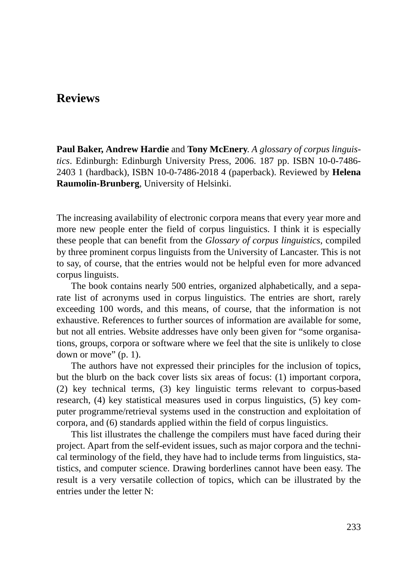# **Reviews**

**Paul Baker, Andrew Hardie** and **Tony McEnery**. *A glossary of corpus linguistics*. Edinburgh: Edinburgh University Press, 2006. 187 pp. ISBN 10-0-7486- 2403 1 (hardback), ISBN 10-0-7486-2018 4 (paperback). Reviewed by **Helena Raumolin-Brunberg**, University of Helsinki.

The increasing availability of electronic corpora means that every year more and more new people enter the field of corpus linguistics. I think it is especially these people that can benefit from the *Glossary of corpus linguistics*, compiled by three prominent corpus linguists from the University of Lancaster. This is not to say, of course, that the entries would not be helpful even for more advanced corpus linguists.

The book contains nearly 500 entries, organized alphabetically, and a separate list of acronyms used in corpus linguistics. The entries are short, rarely exceeding 100 words, and this means, of course, that the information is not exhaustive. References to further sources of information are available for some, but not all entries. Website addresses have only been given for "some organisations, groups, corpora or software where we feel that the site is unlikely to close down or move" (p. 1).

The authors have not expressed their principles for the inclusion of topics, but the blurb on the back cover lists six areas of focus: (1) important corpora, (2) key technical terms, (3) key linguistic terms relevant to corpus-based research, (4) key statistical measures used in corpus linguistics, (5) key computer programme/retrieval systems used in the construction and exploitation of corpora, and (6) standards applied within the field of corpus linguistics.

This list illustrates the challenge the compilers must have faced during their project. Apart from the self-evident issues, such as major corpora and the technical terminology of the field, they have had to include terms from linguistics, statistics, and computer science. Drawing borderlines cannot have been easy. The result is a very versatile collection of topics, which can be illustrated by the entries under the letter N: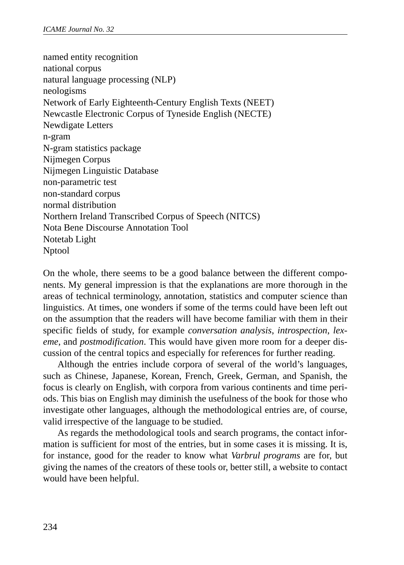named entity recognition national corpus natural language processing (NLP) neologisms Network of Early Eighteenth-Century English Texts (NEET) Newcastle Electronic Corpus of Tyneside English (NECTE) Newdigate Letters n-gram N-gram statistics package Nijmegen Corpus Nijmegen Linguistic Database non-parametric test non-standard corpus normal distribution Northern Ireland Transcribed Corpus of Speech (NITCS) Nota Bene Discourse Annotation Tool Notetab Light Nptool

On the whole, there seems to be a good balance between the different components. My general impression is that the explanations are more thorough in the areas of technical terminology, annotation, statistics and computer science than linguistics. At times, one wonders if some of the terms could have been left out on the assumption that the readers will have become familiar with them in their specific fields of study, for example *conversation analysis*, *introspection*, *lexeme*, and *postmodification*. This would have given more room for a deeper discussion of the central topics and especially for references for further reading.

Although the entries include corpora of several of the world's languages, such as Chinese, Japanese, Korean, French, Greek, German, and Spanish, the focus is clearly on English, with corpora from various continents and time periods. This bias on English may diminish the usefulness of the book for those who investigate other languages, although the methodological entries are, of course, valid irrespective of the language to be studied.

As regards the methodological tools and search programs, the contact information is sufficient for most of the entries, but in some cases it is missing. It is, for instance, good for the reader to know what *Varbrul programs* are for, but giving the names of the creators of these tools or, better still, a website to contact would have been helpful.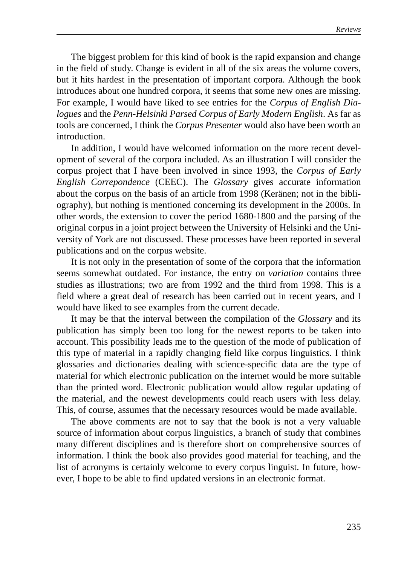The biggest problem for this kind of book is the rapid expansion and change in the field of study. Change is evident in all of the six areas the volume covers, but it hits hardest in the presentation of important corpora. Although the book introduces about one hundred corpora, it seems that some new ones are missing. For example, I would have liked to see entries for the *Corpus of English Dialogues* and the *Penn-Helsinki Parsed Corpus of Early Modern English*. As far as tools are concerned, I think the *Corpus Presenter* would also have been worth an introduction.

In addition, I would have welcomed information on the more recent development of several of the corpora included. As an illustration I will consider the corpus project that I have been involved in since 1993, the *Corpus of Early English Correpondence* (CEEC). The *Glossary* gives accurate information about the corpus on the basis of an article from 1998 (Keränen; not in the bibliography), but nothing is mentioned concerning its development in the 2000s. In other words, the extension to cover the period 1680-1800 and the parsing of the original corpus in a joint project between the University of Helsinki and the University of York are not discussed. These processes have been reported in several publications and on the corpus website.

It is not only in the presentation of some of the corpora that the information seems somewhat outdated. For instance, the entry on *variation* contains three studies as illustrations; two are from 1992 and the third from 1998. This is a field where a great deal of research has been carried out in recent years, and I would have liked to see examples from the current decade.

It may be that the interval between the compilation of the *Glossary* and its publication has simply been too long for the newest reports to be taken into account. This possibility leads me to the question of the mode of publication of this type of material in a rapidly changing field like corpus linguistics. I think glossaries and dictionaries dealing with science-specific data are the type of material for which electronic publication on the internet would be more suitable than the printed word. Electronic publication would allow regular updating of the material, and the newest developments could reach users with less delay. This, of course, assumes that the necessary resources would be made available.

The above comments are not to say that the book is not a very valuable source of information about corpus linguistics, a branch of study that combines many different disciplines and is therefore short on comprehensive sources of information. I think the book also provides good material for teaching, and the list of acronyms is certainly welcome to every corpus linguist. In future, however, I hope to be able to find updated versions in an electronic format.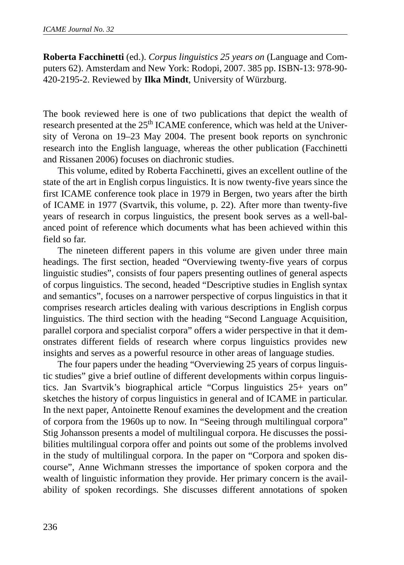**Roberta Facchinetti** (ed.). *Corpus linguistics 25 years on* (Language and Computers 62). Amsterdam and New York: Rodopi, 2007. 385 pp. ISBN-13: 978-90- 420-2195-2. Reviewed by **Ilka Mindt**, University of Würzburg.

The book reviewed here is one of two publications that depict the wealth of research presented at the 25<sup>th</sup> ICAME conference, which was held at the University of Verona on 19–23 May 2004. The present book reports on synchronic research into the English language, whereas the other publication (Facchinetti and Rissanen 2006) focuses on diachronic studies.

This volume, edited by Roberta Facchinetti, gives an excellent outline of the state of the art in English corpus linguistics. It is now twenty-five years since the first ICAME conference took place in 1979 in Bergen, two years after the birth of ICAME in 1977 (Svartvik, this volume, p. 22). After more than twenty-five years of research in corpus linguistics, the present book serves as a well-balanced point of reference which documents what has been achieved within this field so far.

The nineteen different papers in this volume are given under three main headings. The first section, headed "Overviewing twenty-five years of corpus linguistic studies", consists of four papers presenting outlines of general aspects of corpus linguistics. The second, headed "Descriptive studies in English syntax and semantics", focuses on a narrower perspective of corpus linguistics in that it comprises research articles dealing with various descriptions in English corpus linguistics. The third section with the heading "Second Language Acquisition, parallel corpora and specialist corpora" offers a wider perspective in that it demonstrates different fields of research where corpus linguistics provides new insights and serves as a powerful resource in other areas of language studies.

The four papers under the heading "Overviewing 25 years of corpus linguistic studies" give a brief outline of different developments within corpus linguistics. Jan Svartvik's biographical article "Corpus linguistics 25+ years on" sketches the history of corpus linguistics in general and of ICAME in particular. In the next paper, Antoinette Renouf examines the development and the creation of corpora from the 1960s up to now. In "Seeing through multilingual corpora" Stig Johansson presents a model of multilingual corpora. He discusses the possibilities multilingual corpora offer and points out some of the problems involved in the study of multilingual corpora. In the paper on "Corpora and spoken discourse", Anne Wichmann stresses the importance of spoken corpora and the wealth of linguistic information they provide. Her primary concern is the availability of spoken recordings. She discusses different annotations of spoken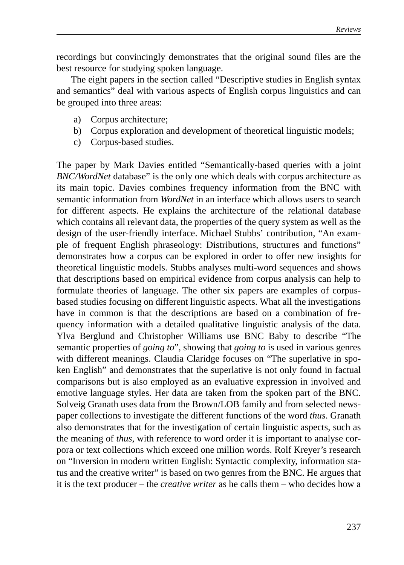recordings but convincingly demonstrates that the original sound files are the best resource for studying spoken language.

The eight papers in the section called "Descriptive studies in English syntax and semantics" deal with various aspects of English corpus linguistics and can be grouped into three areas:

- a) Corpus architecture;
- b) Corpus exploration and development of theoretical linguistic models;
- c) Corpus-based studies.

The paper by Mark Davies entitled "Semantically-based queries with a joint *BNC/WordNet* database" is the only one which deals with corpus architecture as its main topic. Davies combines frequency information from the BNC with semantic information from *WordNet* in an interface which allows users to search for different aspects. He explains the architecture of the relational database which contains all relevant data, the properties of the query system as well as the design of the user-friendly interface. Michael Stubbs' contribution, "An example of frequent English phraseology: Distributions, structures and functions" demonstrates how a corpus can be explored in order to offer new insights for theoretical linguistic models. Stubbs analyses multi-word sequences and shows that descriptions based on empirical evidence from corpus analysis can help to formulate theories of language. The other six papers are examples of corpusbased studies focusing on different linguistic aspects. What all the investigations have in common is that the descriptions are based on a combination of frequency information with a detailed qualitative linguistic analysis of the data. Ylva Berglund and Christopher Williams use BNC Baby to describe "The semantic properties of *going to*", showing that *going to* is used in various genres with different meanings. Claudia Claridge focuses on "The superlative in spoken English" and demonstrates that the superlative is not only found in factual comparisons but is also employed as an evaluative expression in involved and emotive language styles. Her data are taken from the spoken part of the BNC. Solveig Granath uses data from the Brown/LOB family and from selected newspaper collections to investigate the different functions of the word *thus*. Granath also demonstrates that for the investigation of certain linguistic aspects, such as the meaning of *thus,* with reference to word order it is important to analyse corpora or text collections which exceed one million words. Rolf Kreyer's research on "Inversion in modern written English: Syntactic complexity, information status and the creative writer" is based on two genres from the BNC. He argues that it is the text producer – the *creative writer* as he calls them – who decides how a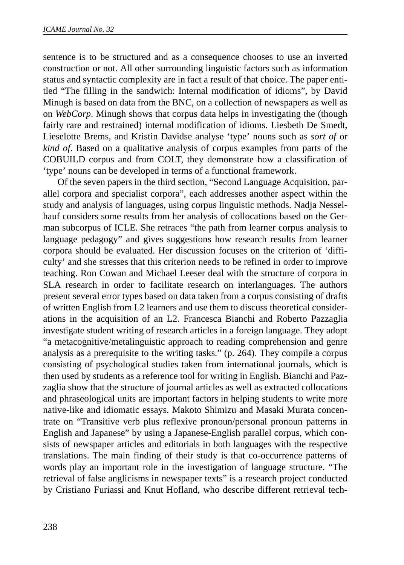sentence is to be structured and as a consequence chooses to use an inverted construction or not. All other surrounding linguistic factors such as information status and syntactic complexity are in fact a result of that choice. The paper entitled "The filling in the sandwich: Internal modification of idioms", by David Minugh is based on data from the BNC, on a collection of newspapers as well as on *WebCorp*. Minugh shows that corpus data helps in investigating the (though fairly rare and restrained) internal modification of idioms. Liesbeth De Smedt, Lieselotte Brems, and Kristin Davidse analyse 'type' nouns such as *sort of* or *kind of*. Based on a qualitative analysis of corpus examples from parts of the COBUILD corpus and from COLT, they demonstrate how a classification of 'type' nouns can be developed in terms of a functional framework.

Of the seven papers in the third section, "Second Language Acquisition, parallel corpora and specialist corpora", each addresses another aspect within the study and analysis of languages, using corpus linguistic methods. Nadja Nesselhauf considers some results from her analysis of collocations based on the German subcorpus of ICLE. She retraces "the path from learner corpus analysis to language pedagogy" and gives suggestions how research results from learner corpora should be evaluated. Her discussion focuses on the criterion of 'difficulty' and she stresses that this criterion needs to be refined in order to improve teaching. Ron Cowan and Michael Leeser deal with the structure of corpora in SLA research in order to facilitate research on interlanguages. The authors present several error types based on data taken from a corpus consisting of drafts of written English from L2 learners and use them to discuss theoretical considerations in the acquisition of an L2. Francesca Bianchi and Roberto Pazzaglia investigate student writing of research articles in a foreign language. They adopt "a metacognitive/metalinguistic approach to reading comprehension and genre analysis as a prerequisite to the writing tasks." (p. 264). They compile a corpus consisting of psychological studies taken from international journals, which is then used by students as a reference tool for writing in English. Bianchi and Pazzaglia show that the structure of journal articles as well as extracted collocations and phraseological units are important factors in helping students to write more native-like and idiomatic essays. Makoto Shimizu and Masaki Murata concentrate on "Transitive verb plus reflexive pronoun/personal pronoun patterns in English and Japanese" by using a Japanese-English parallel corpus, which consists of newspaper articles and editorials in both languages with the respective translations. The main finding of their study is that co-occurrence patterns of words play an important role in the investigation of language structure. "The retrieval of false anglicisms in newspaper texts" is a research project conducted by Cristiano Furiassi and Knut Hofland, who describe different retrieval tech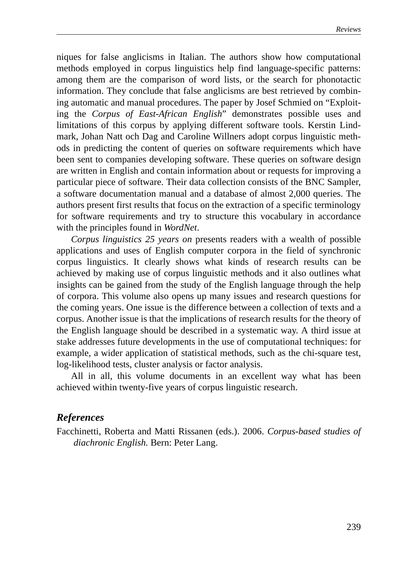niques for false anglicisms in Italian. The authors show how computational methods employed in corpus linguistics help find language-specific patterns: among them are the comparison of word lists, or the search for phonotactic information. They conclude that false anglicisms are best retrieved by combining automatic and manual procedures. The paper by Josef Schmied on "Exploiting the *Corpus of East-African English*" demonstrates possible uses and limitations of this corpus by applying different software tools. Kerstin Lindmark, Johan Natt och Dag and Caroline Willners adopt corpus linguistic methods in predicting the content of queries on software requirements which have been sent to companies developing software. These queries on software design are written in English and contain information about or requests for improving a particular piece of software. Their data collection consists of the BNC Sampler, a software documentation manual and a database of almost 2,000 queries. The authors present first results that focus on the extraction of a specific terminology for software requirements and try to structure this vocabulary in accordance with the principles found in *WordNet*.

*Corpus linguistics 25 years on* presents readers with a wealth of possible applications and uses of English computer corpora in the field of synchronic corpus linguistics. It clearly shows what kinds of research results can be achieved by making use of corpus linguistic methods and it also outlines what insights can be gained from the study of the English language through the help of corpora. This volume also opens up many issues and research questions for the coming years. One issue is the difference between a collection of texts and a corpus. Another issue is that the implications of research results for the theory of the English language should be described in a systematic way. A third issue at stake addresses future developments in the use of computational techniques: for example, a wider application of statistical methods, such as the chi-square test, log-likelihood tests, cluster analysis or factor analysis.

All in all, this volume documents in an excellent way what has been achieved within twenty-five years of corpus linguistic research.

# *References*

Facchinetti, Roberta and Matti Rissanen (eds.). 2006. *Corpus-based studies of diachronic English.* Bern: Peter Lang.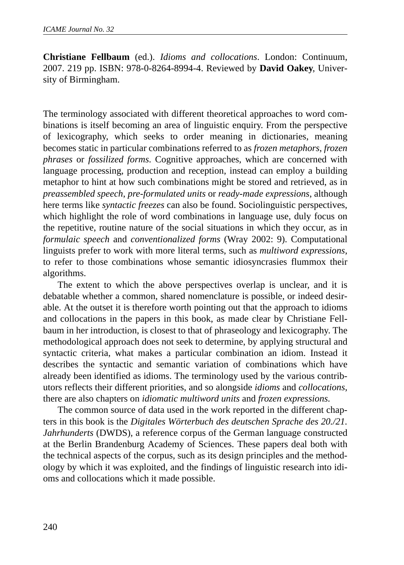**Christiane Fellbaum** (ed.). *Idioms and collocations*. London: Continuum, 2007. 219 pp. ISBN: 978-0-8264-8994-4. Reviewed by **David Oakey**, University of Birmingham.

The terminology associated with different theoretical approaches to word combinations is itself becoming an area of linguistic enquiry. From the perspective of lexicography, which seeks to order meaning in dictionaries, meaning becomes static in particular combinations referred to as *frozen metaphors*, *frozen phrases* or *fossilized forms*. Cognitive approaches, which are concerned with language processing, production and reception, instead can employ a building metaphor to hint at how such combinations might be stored and retrieved, as in *preassembled speech*, *pre-formulated units* or *ready-made expressions*, although here terms like *syntactic freezes* can also be found. Sociolinguistic perspectives, which highlight the role of word combinations in language use, duly focus on the repetitive, routine nature of the social situations in which they occur, as in *formulaic speech* and *conventionalized forms* (Wray 2002: 9). Computational linguists prefer to work with more literal terms, such as *multiword expressions*, to refer to those combinations whose semantic idiosyncrasies flummox their algorithms.

The extent to which the above perspectives overlap is unclear, and it is debatable whether a common, shared nomenclature is possible, or indeed desirable. At the outset it is therefore worth pointing out that the approach to idioms and collocations in the papers in this book, as made clear by Christiane Fellbaum in her introduction, is closest to that of phraseology and lexicography. The methodological approach does not seek to determine, by applying structural and syntactic criteria, what makes a particular combination an idiom. Instead it describes the syntactic and semantic variation of combinations which have already been identified as idioms. The terminology used by the various contributors reflects their different priorities, and so alongside *idioms* and *collocations*, there are also chapters on *idiomatic multiword units* and *frozen expressions.*

The common source of data used in the work reported in the different chapters in this book is the *Digitales Wörterbuch des deutschen Sprache des 20./21. Jahrhunderts* (DWDS)*,* a reference corpus of the German language constructed at the Berlin Brandenburg Academy of Sciences. These papers deal both with the technical aspects of the corpus, such as its design principles and the methodology by which it was exploited, and the findings of linguistic research into idioms and collocations which it made possible.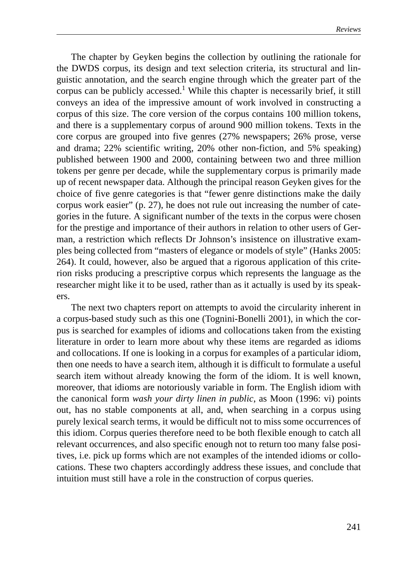The chapter by Geyken begins the collection by outlining the rationale for the DWDS corpus, its design and text selection criteria, its structural and linguistic annotation, and the search engine through which the greater part of the corpus can be publicly accessed.<sup>1</sup> While this chapter is necessarily brief, it still conveys an idea of the impressive amount of work involved in constructing a corpus of this size. The core version of the corpus contains 100 million tokens, and there is a supplementary corpus of around 900 million tokens. Texts in the core corpus are grouped into five genres (27% newspapers; 26% prose, verse and drama; 22% scientific writing, 20% other non-fiction, and 5% speaking) published between 1900 and 2000, containing between two and three million tokens per genre per decade, while the supplementary corpus is primarily made up of recent newspaper data. Although the principal reason Geyken gives for the choice of five genre categories is that "fewer genre distinctions make the daily corpus work easier" (p. 27), he does not rule out increasing the number of categories in the future. A significant number of the texts in the corpus were chosen for the prestige and importance of their authors in relation to other users of German, a restriction which reflects Dr Johnson's insistence on illustrative examples being collected from "masters of elegance or models of style" (Hanks 2005: 264). It could, however, also be argued that a rigorous application of this criterion risks producing a prescriptive corpus which represents the language as the researcher might like it to be used, rather than as it actually is used by its speakers.

The next two chapters report on attempts to avoid the circularity inherent in a corpus-based study such as this one (Tognini-Bonelli 2001), in which the corpus is searched for examples of idioms and collocations taken from the existing literature in order to learn more about why these items are regarded as idioms and collocations. If one is looking in a corpus for examples of a particular idiom, then one needs to have a search item, although it is difficult to formulate a useful search item without already knowing the form of the idiom. It is well known, moreover, that idioms are notoriously variable in form. The English idiom with the canonical form *wash your dirty linen in public*, as Moon (1996: vi) points out, has no stable components at all, and, when searching in a corpus using purely lexical search terms, it would be difficult not to miss some occurrences of this idiom. Corpus queries therefore need to be both flexible enough to catch all relevant occurrences, and also specific enough not to return too many false positives, i.e. pick up forms which are not examples of the intended idioms or collocations. These two chapters accordingly address these issues, and conclude that intuition must still have a role in the construction of corpus queries.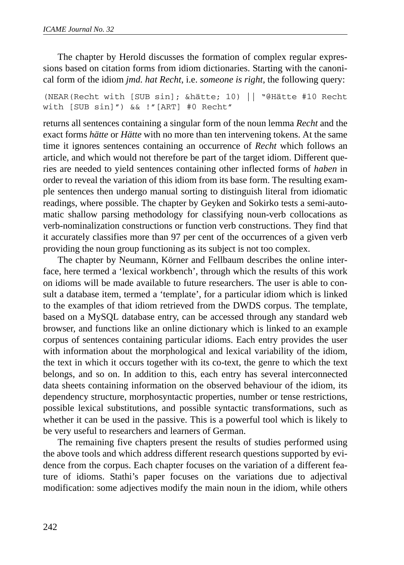The chapter by Herold discusses the formation of complex regular expressions based on citation forms from idiom dictionaries. Starting with the canonical form of the idiom *jmd. hat Recht*, i.e. *someone is right,* the following query:

(NEAR(Recht with [SUB sin]; &hätte; 10) || "@Hätte #10 Recht with [SUB sin]") && !"[ART] #0 Recht"

returns all sentences containing a singular form of the noun lemma *Recht* and the exact forms *hätte* or *Hätte* with no more than ten intervening tokens. At the same time it ignores sentences containing an occurrence of *Recht* which follows an article, and which would not therefore be part of the target idiom. Different queries are needed to yield sentences containing other inflected forms of *haben* in order to reveal the variation of this idiom from its base form. The resulting example sentences then undergo manual sorting to distinguish literal from idiomatic readings, where possible. The chapter by Geyken and Sokirko tests a semi-automatic shallow parsing methodology for classifying noun-verb collocations as verb-nominalization constructions or function verb constructions. They find that it accurately classifies more than 97 per cent of the occurrences of a given verb providing the noun group functioning as its subject is not too complex.

The chapter by Neumann, Körner and Fellbaum describes the online interface, here termed a 'lexical workbench', through which the results of this work on idioms will be made available to future researchers. The user is able to consult a database item, termed a 'template', for a particular idiom which is linked to the examples of that idiom retrieved from the DWDS corpus. The template, based on a MySQL database entry, can be accessed through any standard web browser, and functions like an online dictionary which is linked to an example corpus of sentences containing particular idioms. Each entry provides the user with information about the morphological and lexical variability of the idiom, the text in which it occurs together with its co-text, the genre to which the text belongs, and so on. In addition to this, each entry has several interconnected data sheets containing information on the observed behaviour of the idiom, its dependency structure, morphosyntactic properties, number or tense restrictions, possible lexical substitutions, and possible syntactic transformations, such as whether it can be used in the passive. This is a powerful tool which is likely to be very useful to researchers and learners of German.

The remaining five chapters present the results of studies performed using the above tools and which address different research questions supported by evidence from the corpus. Each chapter focuses on the variation of a different feature of idioms. Stathi's paper focuses on the variations due to adjectival modification: some adjectives modify the main noun in the idiom, while others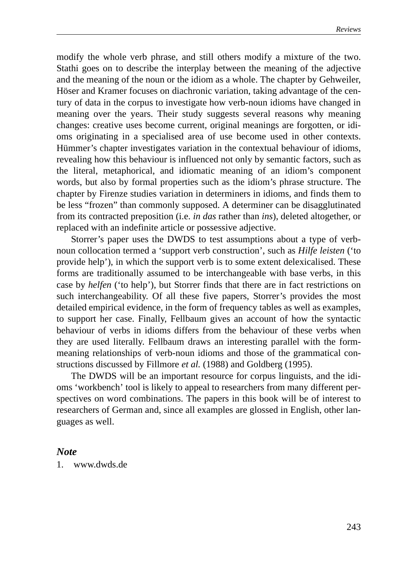modify the whole verb phrase, and still others modify a mixture of the two. Stathi goes on to describe the interplay between the meaning of the adjective and the meaning of the noun or the idiom as a whole. The chapter by Gehweiler, Höser and Kramer focuses on diachronic variation, taking advantage of the century of data in the corpus to investigate how verb-noun idioms have changed in meaning over the years. Their study suggests several reasons why meaning changes: creative uses become current, original meanings are forgotten, or idioms originating in a specialised area of use become used in other contexts. Hümmer's chapter investigates variation in the contextual behaviour of idioms, revealing how this behaviour is influenced not only by semantic factors, such as the literal, metaphorical, and idiomatic meaning of an idiom's component words, but also by formal properties such as the idiom's phrase structure. The chapter by Firenze studies variation in determiners in idioms, and finds them to be less "frozen" than commonly supposed. A determiner can be disagglutinated from its contracted preposition (i.e. *in das* rather than *ins*), deleted altogether, or replaced with an indefinite article or possessive adjective.

Storrer's paper uses the DWDS to test assumptions about a type of verbnoun collocation termed a 'support verb construction', such as *Hilfe leisten* ('to provide help'), in which the support verb is to some extent delexicalised. These forms are traditionally assumed to be interchangeable with base verbs, in this case by *helfen* ('to help'), but Storrer finds that there are in fact restrictions on such interchangeability. Of all these five papers, Storrer's provides the most detailed empirical evidence, in the form of frequency tables as well as examples, to support her case. Finally, Fellbaum gives an account of how the syntactic behaviour of verbs in idioms differs from the behaviour of these verbs when they are used literally. Fellbaum draws an interesting parallel with the formmeaning relationships of verb-noun idioms and those of the grammatical constructions discussed by Fillmore *et al.* (1988) and Goldberg (1995).

The DWDS will be an important resource for corpus linguists, and the idioms 'workbench' tool is likely to appeal to researchers from many different perspectives on word combinations. The papers in this book will be of interest to researchers of German and, since all examples are glossed in English, other languages as well.

#### *Note*

1. www.dwds.de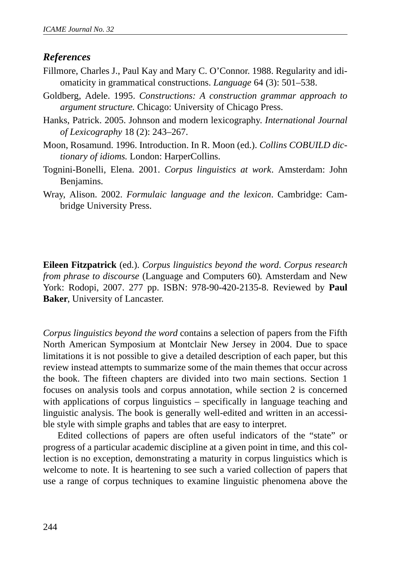# *References*

- Fillmore, Charles J., Paul Kay and Mary C. O'Connor. 1988. Regularity and idiomaticity in grammatical constructions. *Language* 64 (3): 501–538.
- Goldberg, Adele. 1995. *Constructions: A construction grammar approach to argument structure.* Chicago: University of Chicago Press.
- Hanks, Patrick. 2005. Johnson and modern lexicography. *International Journal of Lexicography* 18 (2): 243–267.
- Moon, Rosamund. 1996. Introduction. In R. Moon (ed.). *Collins COBUILD dictionary of idioms.* London: HarperCollins.
- Tognini-Bonelli, Elena. 2001. *Corpus linguistics at work*. Amsterdam: John Benjamins.
- Wray, Alison. 2002. *Formulaic language and the lexicon*. Cambridge: Cambridge University Press.

**Eileen Fitzpatrick** (ed.). *Corpus linguistics beyond the word*. *Corpus research from phrase to discourse* (Language and Computers 60)*.* Amsterdam and New York: Rodopi, 2007. 277 pp. ISBN: 978-90-420-2135-8. Reviewed by **Paul Baker**, University of Lancaster.

*Corpus linguistics beyond the word* contains a selection of papers from the Fifth North American Symposium at Montclair New Jersey in 2004. Due to space limitations it is not possible to give a detailed description of each paper, but this review instead attempts to summarize some of the main themes that occur across the book. The fifteen chapters are divided into two main sections. Section 1 focuses on analysis tools and corpus annotation, while section 2 is concerned with applications of corpus linguistics – specifically in language teaching and linguistic analysis. The book is generally well-edited and written in an accessible style with simple graphs and tables that are easy to interpret.

Edited collections of papers are often useful indicators of the "state" or progress of a particular academic discipline at a given point in time, and this collection is no exception, demonstrating a maturity in corpus linguistics which is welcome to note. It is heartening to see such a varied collection of papers that use a range of corpus techniques to examine linguistic phenomena above the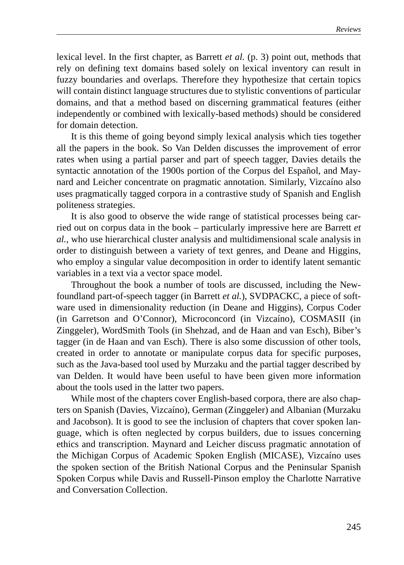lexical level. In the first chapter, as Barrett *et al.* (p. 3) point out, methods that rely on defining text domains based solely on lexical inventory can result in fuzzy boundaries and overlaps. Therefore they hypothesize that certain topics will contain distinct language structures due to stylistic conventions of particular domains, and that a method based on discerning grammatical features (either independently or combined with lexically-based methods) should be considered for domain detection.

It is this theme of going beyond simply lexical analysis which ties together all the papers in the book. So Van Delden discusses the improvement of error rates when using a partial parser and part of speech tagger, Davies details the syntactic annotation of the 1900s portion of the Corpus del Español, and Maynard and Leicher concentrate on pragmatic annotation. Similarly, Vizcaíno also uses pragmatically tagged corpora in a contrastive study of Spanish and English politeness strategies.

It is also good to observe the wide range of statistical processes being carried out on corpus data in the book – particularly impressive here are Barrett *et al.*, who use hierarchical cluster analysis and multidimensional scale analysis in order to distinguish between a variety of text genres, and Deane and Higgins, who employ a singular value decomposition in order to identify latent semantic variables in a text via a vector space model.

Throughout the book a number of tools are discussed, including the Newfoundland part-of-speech tagger (in Barrett *et al.*), SVDPACKC, a piece of software used in dimensionality reduction (in Deane and Higgins), Corpus Coder (in Garretson and O'Connor), Microconcord (in Vizcaíno), COSMASII (in Zinggeler), WordSmith Tools (in Shehzad, and de Haan and van Esch), Biber's tagger (in de Haan and van Esch). There is also some discussion of other tools, created in order to annotate or manipulate corpus data for specific purposes, such as the Java-based tool used by Murzaku and the partial tagger described by van Delden. It would have been useful to have been given more information about the tools used in the latter two papers.

While most of the chapters cover English-based corpora, there are also chapters on Spanish (Davies, Vizcaíno), German (Zinggeler) and Albanian (Murzaku and Jacobson). It is good to see the inclusion of chapters that cover spoken language, which is often neglected by corpus builders, due to issues concerning ethics and transcription. Maynard and Leicher discuss pragmatic annotation of the Michigan Corpus of Academic Spoken English (MICASE), Vizcaíno uses the spoken section of the British National Corpus and the Peninsular Spanish Spoken Corpus while Davis and Russell-Pinson employ the Charlotte Narrative and Conversation Collection.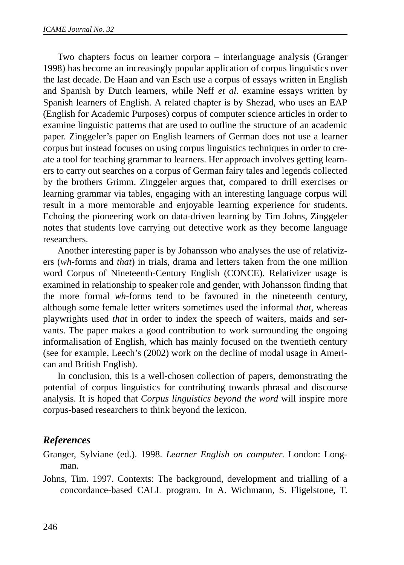Two chapters focus on learner corpora – interlanguage analysis (Granger 1998) has become an increasingly popular application of corpus linguistics over the last decade. De Haan and van Esch use a corpus of essays written in English and Spanish by Dutch learners, while Neff *et al*. examine essays written by Spanish learners of English. A related chapter is by Shezad, who uses an EAP (English for Academic Purposes) corpus of computer science articles in order to examine linguistic patterns that are used to outline the structure of an academic paper. Zinggeler's paper on English learners of German does not use a learner corpus but instead focuses on using corpus linguistics techniques in order to create a tool for teaching grammar to learners. Her approach involves getting learners to carry out searches on a corpus of German fairy tales and legends collected by the brothers Grimm. Zinggeler argues that, compared to drill exercises or learning grammar via tables, engaging with an interesting language corpus will result in a more memorable and enjoyable learning experience for students. Echoing the pioneering work on data-driven learning by Tim Johns, Zinggeler notes that students love carrying out detective work as they become language researchers.

Another interesting paper is by Johansson who analyses the use of relativizers (*wh*-forms and *that*) in trials, drama and letters taken from the one million word Corpus of Nineteenth-Century English (CONCE). Relativizer usage is examined in relationship to speaker role and gender, with Johansson finding that the more formal *wh*-forms tend to be favoured in the nineteenth century, although some female letter writers sometimes used the informal *that*, whereas playwrights used *that* in order to index the speech of waiters, maids and servants. The paper makes a good contribution to work surrounding the ongoing informalisation of English, which has mainly focused on the twentieth century (see for example, Leech's (2002) work on the decline of modal usage in American and British English).

In conclusion, this is a well-chosen collection of papers, demonstrating the potential of corpus linguistics for contributing towards phrasal and discourse analysis. It is hoped that *Corpus linguistics beyond the word* will inspire more corpus-based researchers to think beyond the lexicon.

# *References*

Granger, Sylviane (ed.). 1998. *Learner English on computer*. London: Longman.

Johns, Tim. 1997. Contexts: The background, development and trialling of a concordance-based CALL program. In A. Wichmann, S. Fligelstone, T.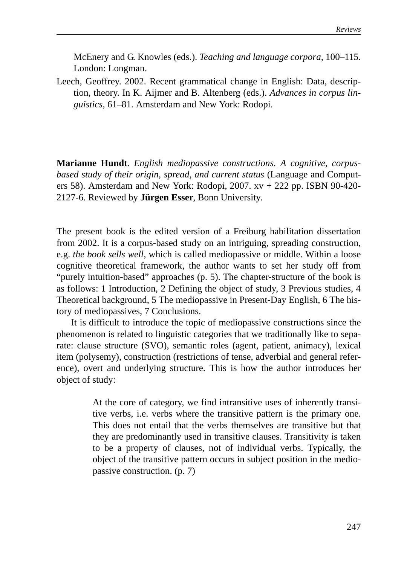McEnery and G. Knowles (eds.). *Teaching and language corpora,* 100–115. London: Longman.

Leech, Geoffrey. 2002. Recent grammatical change in English: Data, description, theory. In K. Aijmer and B. Altenberg (eds.). *Advances in corpus linguistics,* 61–81. Amsterdam and New York: Rodopi.

**Marianne Hundt**. *English mediopassive constructions. A cognitive, corpusbased study of their origin, spread, and current status* (Language and Computers 58). Amsterdam and New York: Rodopi, 2007. xv + 222 pp. ISBN 90-420- 2127-6. Reviewed by **Jürgen Esser**, Bonn University.

The present book is the edited version of a Freiburg habilitation dissertation from 2002. It is a corpus-based study on an intriguing, spreading construction, e.g. *the book sells well*, which is called mediopassive or middle. Within a loose cognitive theoretical framework, the author wants to set her study off from "purely intuition-based" approaches (p. 5). The chapter-structure of the book is as follows: 1 Introduction, 2 Defining the object of study, 3 Previous studies, 4 Theoretical background, 5 The mediopassive in Present-Day English, 6 The history of mediopassives, 7 Conclusions.

It is difficult to introduce the topic of mediopassive constructions since the phenomenon is related to linguistic categories that we traditionally like to separate: clause structure (SVO), semantic roles (agent, patient, animacy), lexical item (polysemy), construction (restrictions of tense, adverbial and general reference), overt and underlying structure. This is how the author introduces her object of study:

> At the core of category, we find intransitive uses of inherently transitive verbs, i.e. verbs where the transitive pattern is the primary one. This does not entail that the verbs themselves are transitive but that they are predominantly used in transitive clauses. Transitivity is taken to be a property of clauses, not of individual verbs. Typically, the object of the transitive pattern occurs in subject position in the mediopassive construction. (p. 7)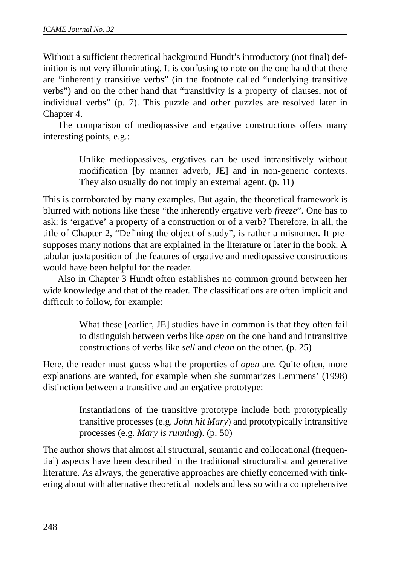Without a sufficient theoretical background Hundt's introductory (not final) definition is not very illuminating. It is confusing to note on the one hand that there are "inherently transitive verbs" (in the footnote called "underlying transitive verbs") and on the other hand that "transitivity is a property of clauses, not of individual verbs" (p. 7). This puzzle and other puzzles are resolved later in Chapter 4.

The comparison of mediopassive and ergative constructions offers many interesting points, e.g.:

> Unlike mediopassives, ergatives can be used intransitively without modification [by manner adverb, JE] and in non-generic contexts. They also usually do not imply an external agent. (p. 11)

This is corroborated by many examples. But again, the theoretical framework is blurred with notions like these "the inherently ergative verb *freeze*". One has to ask: is 'ergative' a property of a construction or of a verb? Therefore, in all, the title of Chapter 2, "Defining the object of study", is rather a misnomer. It presupposes many notions that are explained in the literature or later in the book. A tabular juxtaposition of the features of ergative and mediopassive constructions would have been helpful for the reader.

Also in Chapter 3 Hundt often establishes no common ground between her wide knowledge and that of the reader. The classifications are often implicit and difficult to follow, for example:

> What these [earlier, JE] studies have in common is that they often fail to distinguish between verbs like *open* on the one hand and intransitive constructions of verbs like *sell* and *clean* on the other. (p. 25)

Here, the reader must guess what the properties of *open* are. Quite often, more explanations are wanted, for example when she summarizes Lemmens' (1998) distinction between a transitive and an ergative prototype:

> Instantiations of the transitive prototype include both prototypically transitive processes (e.g. *John hit Mary*) and prototypically intransitive processes (e.g. *Mary is running*). (p. 50)

The author shows that almost all structural, semantic and collocational (frequential) aspects have been described in the traditional structuralist and generative literature. As always, the generative approaches are chiefly concerned with tinkering about with alternative theoretical models and less so with a comprehensive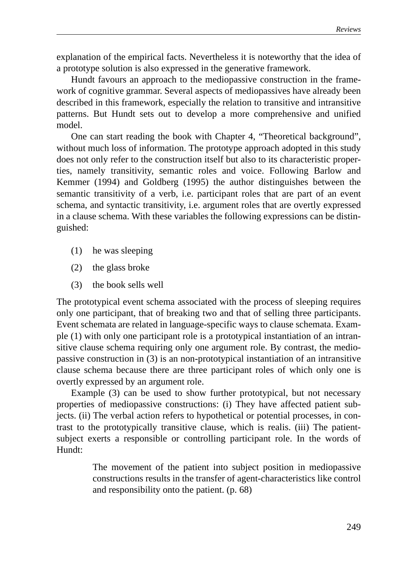explanation of the empirical facts. Nevertheless it is noteworthy that the idea of a prototype solution is also expressed in the generative framework.

Hundt favours an approach to the mediopassive construction in the framework of cognitive grammar. Several aspects of mediopassives have already been described in this framework, especially the relation to transitive and intransitive patterns. But Hundt sets out to develop a more comprehensive and unified model.

One can start reading the book with Chapter 4, "Theoretical background", without much loss of information. The prototype approach adopted in this study does not only refer to the construction itself but also to its characteristic properties, namely transitivity, semantic roles and voice. Following Barlow and Kemmer (1994) and Goldberg (1995) the author distinguishes between the semantic transitivity of a verb, i.e. participant roles that are part of an event schema, and syntactic transitivity, i.e. argument roles that are overtly expressed in a clause schema. With these variables the following expressions can be distinguished:

- (1) he was sleeping
- (2) the glass broke
- (3) the book sells well

The prototypical event schema associated with the process of sleeping requires only one participant, that of breaking two and that of selling three participants. Event schemata are related in language-specific ways to clause schemata. Example (1) with only one participant role is a prototypical instantiation of an intransitive clause schema requiring only one argument role. By contrast, the mediopassive construction in (3) is an non-prototypical instantiation of an intransitive clause schema because there are three participant roles of which only one is overtly expressed by an argument role.

Example (3) can be used to show further prototypical, but not necessary properties of mediopassive constructions: (i) They have affected patient subjects. (ii) The verbal action refers to hypothetical or potential processes, in contrast to the prototypically transitive clause, which is realis. (iii) The patientsubject exerts a responsible or controlling participant role. In the words of Hundt:

> The movement of the patient into subject position in mediopassive constructions results in the transfer of agent-characteristics like control and responsibility onto the patient. (p. 68)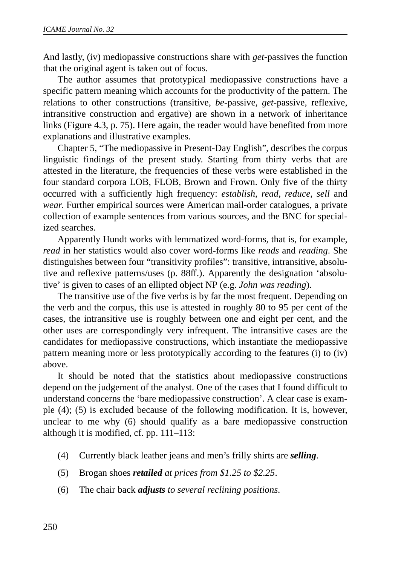And lastly, (iv) mediopassive constructions share with *get*-passives the function that the original agent is taken out of focus.

The author assumes that prototypical mediopassive constructions have a specific pattern meaning which accounts for the productivity of the pattern. The relations to other constructions (transitive, *be-*passive, *get-*passive, reflexive, intransitive construction and ergative) are shown in a network of inheritance links (Figure 4.3, p. 75). Here again, the reader would have benefited from more explanations and illustrative examples.

Chapter 5, "The mediopassive in Present-Day English", describes the corpus linguistic findings of the present study. Starting from thirty verbs that are attested in the literature, the frequencies of these verbs were established in the four standard corpora LOB, FLOB, Brown and Frown. Only five of the thirty occurred with a sufficiently high frequency: *establish*, *read*, *reduce*, *sell* and *wear*. Further empirical sources were American mail-order catalogues, a private collection of example sentences from various sources, and the BNC for specialized searches.

Apparently Hundt works with lemmatized word-forms, that is, for example, *read* in her statistics would also cover word-forms like *reads* and *reading*. She distinguishes between four "transitivity profiles": transitive, intransitive, absolutive and reflexive patterns/uses (p. 88ff.). Apparently the designation 'absolutive' is given to cases of an ellipted object NP (e.g. *John was reading*).

The transitive use of the five verbs is by far the most frequent. Depending on the verb and the corpus, this use is attested in roughly 80 to 95 per cent of the cases, the intransitive use is roughly between one and eight per cent, and the other uses are correspondingly very infrequent. The intransitive cases are the candidates for mediopassive constructions, which instantiate the mediopassive pattern meaning more or less prototypically according to the features (i) to (iv) above.

It should be noted that the statistics about mediopassive constructions depend on the judgement of the analyst. One of the cases that I found difficult to understand concerns the 'bare mediopassive construction'. A clear case is example (4); (5) is excluded because of the following modification. It is, however, unclear to me why (6) should qualify as a bare mediopassive construction although it is modified, cf. pp. 111–113:

- (4) Currently black leather jeans and men's frilly shirts are *selling*.
- (5) Brogan shoes *retailed at prices from \$1.25 to \$2.25*.
- (6) The chair back *adjusts to several reclining positions*.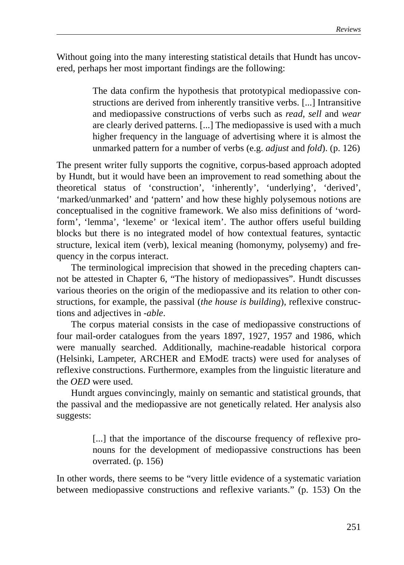Without going into the many interesting statistical details that Hundt has uncovered, perhaps her most important findings are the following:

> The data confirm the hypothesis that prototypical mediopassive constructions are derived from inherently transitive verbs. [...] Intransitive and mediopassive constructions of verbs such as *read*, *sell* and *wear* are clearly derived patterns. [...] The mediopassive is used with a much higher frequency in the language of advertising where it is almost the unmarked pattern for a number of verbs (e.g. *adjust* and *fold*). (p. 126)

The present writer fully supports the cognitive, corpus-based approach adopted by Hundt, but it would have been an improvement to read something about the theoretical status of 'construction', 'inherently', 'underlying', 'derived', 'marked/unmarked' and 'pattern' and how these highly polysemous notions are conceptualised in the cognitive framework. We also miss definitions of 'wordform', 'lemma', 'lexeme' or 'lexical item'. The author offers useful building blocks but there is no integrated model of how contextual features, syntactic structure, lexical item (verb), lexical meaning (homonymy, polysemy) and frequency in the corpus interact.

The terminological imprecision that showed in the preceding chapters cannot be attested in Chapter 6, "The history of mediopassives". Hundt discusses various theories on the origin of the mediopassive and its relation to other constructions, for example, the passival (*the house is building*), reflexive constructions and adjectives in -*able*.

The corpus material consists in the case of mediopassive constructions of four mail-order catalogues from the years 1897, 1927, 1957 and 1986, which were manually searched. Additionally, machine-readable historical corpora (Helsinki, Lampeter, ARCHER and EModE tracts) were used for analyses of reflexive constructions. Furthermore, examples from the linguistic literature and the *OED* were used.

Hundt argues convincingly, mainly on semantic and statistical grounds, that the passival and the mediopassive are not genetically related. Her analysis also suggests:

> [...] that the importance of the discourse frequency of reflexive pronouns for the development of mediopassive constructions has been overrated. (p. 156)

In other words, there seems to be "very little evidence of a systematic variation between mediopassive constructions and reflexive variants." (p. 153) On the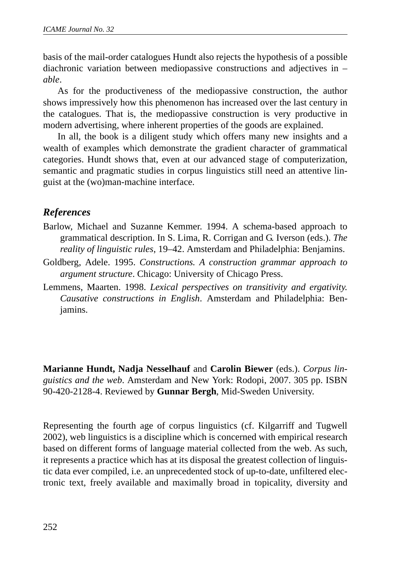basis of the mail-order catalogues Hundt also rejects the hypothesis of a possible diachronic variation between mediopassive constructions and adjectives in – *able*.

As for the productiveness of the mediopassive construction, the author shows impressively how this phenomenon has increased over the last century in the catalogues. That is, the mediopassive construction is very productive in modern advertising, where inherent properties of the goods are explained.

In all, the book is a diligent study which offers many new insights and a wealth of examples which demonstrate the gradient character of grammatical categories. Hundt shows that, even at our advanced stage of computerization, semantic and pragmatic studies in corpus linguistics still need an attentive linguist at the (wo)man-machine interface.

# *References*

- Barlow, Michael and Suzanne Kemmer. 1994. A schema-based approach to grammatical description. In S. Lima, R. Corrigan and G. Iverson (eds.). *The reality of linguistic rules*, 19–42. Amsterdam and Philadelphia: Benjamins.
- Goldberg, Adele. 1995. *Constructions. A construction grammar approach to argument structure*. Chicago: University of Chicago Press.
- Lemmens, Maarten. 1998. *Lexical perspectives on transitivity and ergativity. Causative constructions in English*. Amsterdam and Philadelphia: Benjamins.

**Marianne Hundt, Nadja Nesselhauf** and **Carolin Biewer** (eds.). *Corpus linguistics and the web*. Amsterdam and New York: Rodopi, 2007. 305 pp. ISBN 90-420-2128-4. Reviewed by **Gunnar Bergh**, Mid-Sweden University.

Representing the fourth age of corpus linguistics (cf. Kilgarriff and Tugwell 2002), web linguistics is a discipline which is concerned with empirical research based on different forms of language material collected from the web. As such, it represents a practice which has at its disposal the greatest collection of linguistic data ever compiled, i.e. an unprecedented stock of up-to-date, unfiltered electronic text, freely available and maximally broad in topicality, diversity and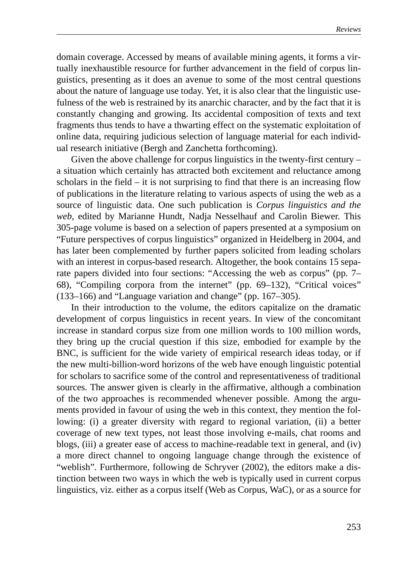domain coverage. Accessed by means of available mining agents, it forms a virtually inexhaustible resource for further advancement in the field of corpus linguistics, presenting as it does an avenue to some of the most central questions about the nature of language use today. Yet, it is also clear that the linguistic usefulness of the web is restrained by its anarchic character, and by the fact that it is constantly changing and growing. Its accidental composition of texts and text fragments thus tends to have a thwarting effect on the systematic exploitation of online data, requiring judicious selection of language material for each individual research initiative (Bergh and Zanchetta forthcoming).

Given the above challenge for corpus linguistics in the twenty-first century – a situation which certainly has attracted both excitement and reluctance among scholars in the field  $-$  it is not surprising to find that there is an increasing flow of publications in the literature relating to various aspects of using the web as a source of linguistic data. One such publication is *Corpus linguistics and the web*, edited by Marianne Hundt, Nadja Nesselhauf and Carolin Biewer. This 305-page volume is based on a selection of papers presented at a symposium on "Future perspectives of corpus linguistics" organized in Heidelberg in 2004, and has later been complemented by further papers solicited from leading scholars with an interest in corpus-based research. Altogether, the book contains 15 separate papers divided into four sections: "Accessing the web as corpus" (pp. 7– 68), "Compiling corpora from the internet" (pp. 69–132), "Critical voices" (133–166) and "Language variation and change" (pp. 167–305).

In their introduction to the volume, the editors capitalize on the dramatic development of corpus linguistics in recent years. In view of the concomitant increase in standard corpus size from one million words to 100 million words, they bring up the crucial question if this size, embodied for example by the BNC, is sufficient for the wide variety of empirical research ideas today, or if the new multi-billion-word horizons of the web have enough linguistic potential for scholars to sacrifice some of the control and representativeness of traditional sources. The answer given is clearly in the affirmative, although a combination of the two approaches is recommended whenever possible. Among the arguments provided in favour of using the web in this context, they mention the following: (i) a greater diversity with regard to regional variation, (ii) a better coverage of new text types, not least those involving e-mails, chat rooms and blogs, (iii) a greater ease of access to machine-readable text in general, and (iv) a more direct channel to ongoing language change through the existence of "weblish". Furthermore, following de Schryver (2002), the editors make a distinction between two ways in which the web is typically used in current corpus linguistics, viz. either as a corpus itself (Web as Corpus, WaC), or as a source for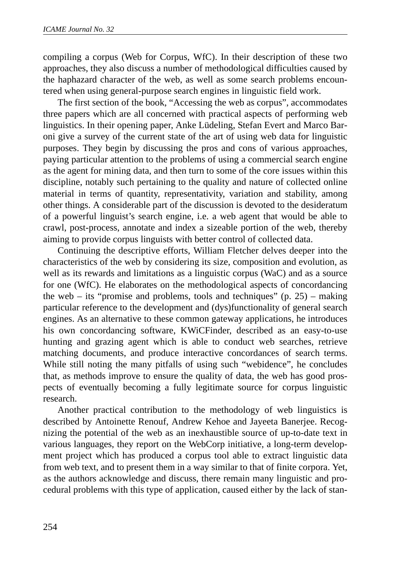compiling a corpus (Web for Corpus, WfC). In their description of these two approaches, they also discuss a number of methodological difficulties caused by the haphazard character of the web, as well as some search problems encountered when using general-purpose search engines in linguistic field work.

The first section of the book, "Accessing the web as corpus", accommodates three papers which are all concerned with practical aspects of performing web linguistics. In their opening paper, Anke Lüdeling, Stefan Evert and Marco Baroni give a survey of the current state of the art of using web data for linguistic purposes. They begin by discussing the pros and cons of various approaches, paying particular attention to the problems of using a commercial search engine as the agent for mining data, and then turn to some of the core issues within this discipline, notably such pertaining to the quality and nature of collected online material in terms of quantity, representativity, variation and stability, among other things. A considerable part of the discussion is devoted to the desideratum of a powerful linguist's search engine, i.e. a web agent that would be able to crawl, post-process, annotate and index a sizeable portion of the web, thereby aiming to provide corpus linguists with better control of collected data.

Continuing the descriptive efforts, William Fletcher delves deeper into the characteristics of the web by considering its size, composition and evolution, as well as its rewards and limitations as a linguistic corpus (WaC) and as a source for one (WfC). He elaborates on the methodological aspects of concordancing the web – its "promise and problems, tools and techniques"  $(p. 25)$  – making particular reference to the development and (dys)functionality of general search engines. As an alternative to these common gateway applications, he introduces his own concordancing software, KWiCFinder, described as an easy-to-use hunting and grazing agent which is able to conduct web searches, retrieve matching documents, and produce interactive concordances of search terms. While still noting the many pitfalls of using such "webidence", he concludes that, as methods improve to ensure the quality of data, the web has good prospects of eventually becoming a fully legitimate source for corpus linguistic research.

Another practical contribution to the methodology of web linguistics is described by Antoinette Renouf, Andrew Kehoe and Jayeeta Banerjee. Recognizing the potential of the web as an inexhaustible source of up-to-date text in various languages, they report on the WebCorp initiative, a long-term development project which has produced a corpus tool able to extract linguistic data from web text, and to present them in a way similar to that of finite corpora. Yet, as the authors acknowledge and discuss, there remain many linguistic and procedural problems with this type of application, caused either by the lack of stan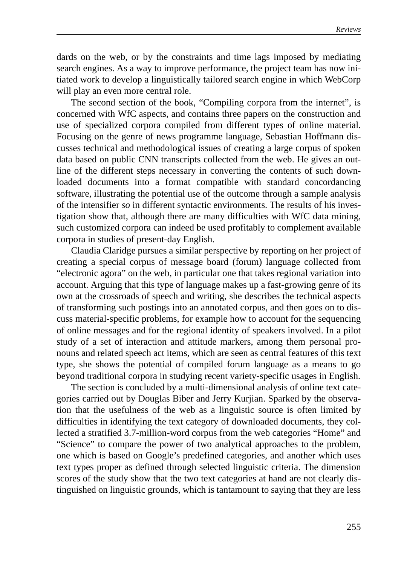dards on the web, or by the constraints and time lags imposed by mediating search engines. As a way to improve performance, the project team has now initiated work to develop a linguistically tailored search engine in which WebCorp will play an even more central role.

The second section of the book, "Compiling corpora from the internet", is concerned with WfC aspects, and contains three papers on the construction and use of specialized corpora compiled from different types of online material. Focusing on the genre of news programme language, Sebastian Hoffmann discusses technical and methodological issues of creating a large corpus of spoken data based on public CNN transcripts collected from the web. He gives an outline of the different steps necessary in converting the contents of such downloaded documents into a format compatible with standard concordancing software, illustrating the potential use of the outcome through a sample analysis of the intensifier *so* in different syntactic environments. The results of his investigation show that, although there are many difficulties with WfC data mining, such customized corpora can indeed be used profitably to complement available corpora in studies of present-day English.

Claudia Claridge pursues a similar perspective by reporting on her project of creating a special corpus of message board (forum) language collected from "electronic agora" on the web, in particular one that takes regional variation into account. Arguing that this type of language makes up a fast-growing genre of its own at the crossroads of speech and writing, she describes the technical aspects of transforming such postings into an annotated corpus, and then goes on to discuss material-specific problems, for example how to account for the sequencing of online messages and for the regional identity of speakers involved. In a pilot study of a set of interaction and attitude markers, among them personal pronouns and related speech act items, which are seen as central features of this text type, she shows the potential of compiled forum language as a means to go beyond traditional corpora in studying recent variety-specific usages in English.

The section is concluded by a multi-dimensional analysis of online text categories carried out by Douglas Biber and Jerry Kurjian. Sparked by the observation that the usefulness of the web as a linguistic source is often limited by difficulties in identifying the text category of downloaded documents, they collected a stratified 3.7-million-word corpus from the web categories "Home" and "Science" to compare the power of two analytical approaches to the problem, one which is based on Google's predefined categories, and another which uses text types proper as defined through selected linguistic criteria. The dimension scores of the study show that the two text categories at hand are not clearly distinguished on linguistic grounds, which is tantamount to saying that they are less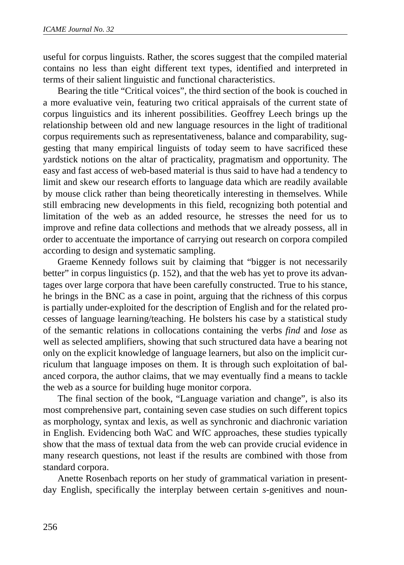useful for corpus linguists. Rather, the scores suggest that the compiled material contains no less than eight different text types, identified and interpreted in terms of their salient linguistic and functional characteristics.

Bearing the title "Critical voices", the third section of the book is couched in a more evaluative vein, featuring two critical appraisals of the current state of corpus linguistics and its inherent possibilities. Geoffrey Leech brings up the relationship between old and new language resources in the light of traditional corpus requirements such as representativeness, balance and comparability, suggesting that many empirical linguists of today seem to have sacrificed these yardstick notions on the altar of practicality, pragmatism and opportunity. The easy and fast access of web-based material is thus said to have had a tendency to limit and skew our research efforts to language data which are readily available by mouse click rather than being theoretically interesting in themselves. While still embracing new developments in this field, recognizing both potential and limitation of the web as an added resource, he stresses the need for us to improve and refine data collections and methods that we already possess, all in order to accentuate the importance of carrying out research on corpora compiled according to design and systematic sampling.

Graeme Kennedy follows suit by claiming that "bigger is not necessarily better" in corpus linguistics (p. 152), and that the web has yet to prove its advantages over large corpora that have been carefully constructed. True to his stance, he brings in the BNC as a case in point, arguing that the richness of this corpus is partially under-exploited for the description of English and for the related processes of language learning/teaching. He bolsters his case by a statistical study of the semantic relations in collocations containing the verbs *find* and *lose* as well as selected amplifiers, showing that such structured data have a bearing not only on the explicit knowledge of language learners, but also on the implicit curriculum that language imposes on them. It is through such exploitation of balanced corpora, the author claims, that we may eventually find a means to tackle the web as a source for building huge monitor corpora.

The final section of the book, "Language variation and change", is also its most comprehensive part, containing seven case studies on such different topics as morphology, syntax and lexis, as well as synchronic and diachronic variation in English. Evidencing both WaC and WfC approaches, these studies typically show that the mass of textual data from the web can provide crucial evidence in many research questions, not least if the results are combined with those from standard corpora.

Anette Rosenbach reports on her study of grammatical variation in presentday English, specifically the interplay between certain *s*-genitives and noun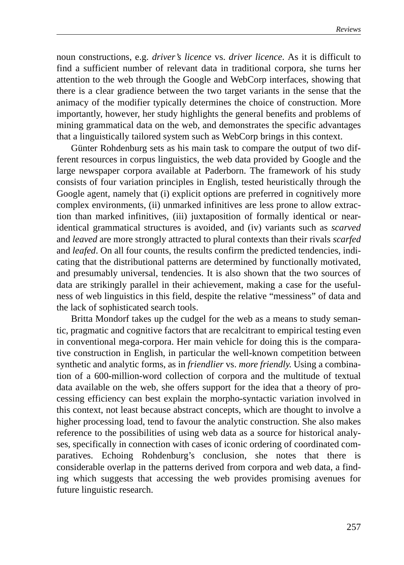noun constructions, e.g. *driver's licence* vs. *driver licence*. As it is difficult to find a sufficient number of relevant data in traditional corpora, she turns her attention to the web through the Google and WebCorp interfaces, showing that there is a clear gradience between the two target variants in the sense that the animacy of the modifier typically determines the choice of construction. More importantly, however, her study highlights the general benefits and problems of mining grammatical data on the web, and demonstrates the specific advantages that a linguistically tailored system such as WebCorp brings in this context.

Günter Rohdenburg sets as his main task to compare the output of two different resources in corpus linguistics, the web data provided by Google and the large newspaper corpora available at Paderborn. The framework of his study consists of four variation principles in English, tested heuristically through the Google agent, namely that (i) explicit options are preferred in cognitively more complex environments, (ii) unmarked infinitives are less prone to allow extraction than marked infinitives, (iii) juxtaposition of formally identical or nearidentical grammatical structures is avoided, and (iv) variants such as *scarved* and *leaved* are more strongly attracted to plural contexts than their rivals *scarfed* and *leafed*. On all four counts, the results confirm the predicted tendencies, indicating that the distributional patterns are determined by functionally motivated, and presumably universal, tendencies. It is also shown that the two sources of data are strikingly parallel in their achievement, making a case for the usefulness of web linguistics in this field, despite the relative "messiness" of data and the lack of sophisticated search tools.

Britta Mondorf takes up the cudgel for the web as a means to study semantic, pragmatic and cognitive factors that are recalcitrant to empirical testing even in conventional mega-corpora. Her main vehicle for doing this is the comparative construction in English, in particular the well-known competition between synthetic and analytic forms, as in *friendlier* vs. *more friendly*. Using a combination of a 600-million-word collection of corpora and the multitude of textual data available on the web, she offers support for the idea that a theory of processing efficiency can best explain the morpho-syntactic variation involved in this context, not least because abstract concepts, which are thought to involve a higher processing load, tend to favour the analytic construction. She also makes reference to the possibilities of using web data as a source for historical analyses, specifically in connection with cases of iconic ordering of coordinated comparatives. Echoing Rohdenburg's conclusion, she notes that there is considerable overlap in the patterns derived from corpora and web data, a finding which suggests that accessing the web provides promising avenues for future linguistic research.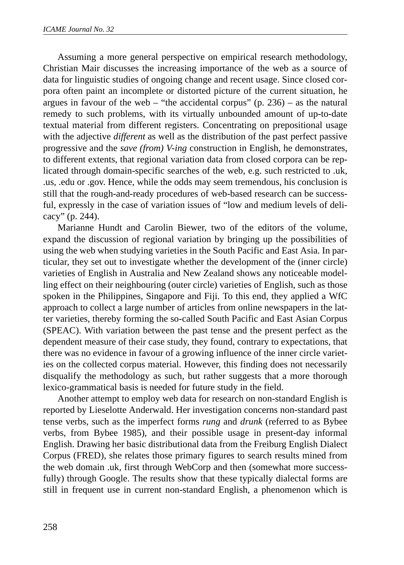Assuming a more general perspective on empirical research methodology, Christian Mair discusses the increasing importance of the web as a source of data for linguistic studies of ongoing change and recent usage. Since closed corpora often paint an incomplete or distorted picture of the current situation, he argues in favour of the web – "the accidental corpus"  $(p. 236)$  – as the natural remedy to such problems, with its virtually unbounded amount of up-to-date textual material from different registers. Concentrating on prepositional usage with the adjective *different* as well as the distribution of the past perfect passive progressive and the *save (from) V-ing* construction in English, he demonstrates, to different extents, that regional variation data from closed corpora can be replicated through domain-specific searches of the web, e.g. such restricted to .uk, .us, .edu or .gov. Hence, while the odds may seem tremendous, his conclusion is still that the rough-and-ready procedures of web-based research can be successful, expressly in the case of variation issues of "low and medium levels of delicacy" (p. 244).

Marianne Hundt and Carolin Biewer, two of the editors of the volume, expand the discussion of regional variation by bringing up the possibilities of using the web when studying varieties in the South Pacific and East Asia. In particular, they set out to investigate whether the development of the (inner circle) varieties of English in Australia and New Zealand shows any noticeable modelling effect on their neighbouring (outer circle) varieties of English, such as those spoken in the Philippines, Singapore and Fiji. To this end, they applied a WfC approach to collect a large number of articles from online newspapers in the latter varieties, thereby forming the so-called South Pacific and East Asian Corpus (SPEAC). With variation between the past tense and the present perfect as the dependent measure of their case study, they found, contrary to expectations, that there was no evidence in favour of a growing influence of the inner circle varieties on the collected corpus material. However, this finding does not necessarily disqualify the methodology as such, but rather suggests that a more thorough lexico-grammatical basis is needed for future study in the field.

Another attempt to employ web data for research on non-standard English is reported by Lieselotte Anderwald. Her investigation concerns non-standard past tense verbs, such as the imperfect forms *rung* and *drunk* (referred to as Bybee verbs, from Bybee 1985), and their possible usage in present-day informal English. Drawing her basic distributional data from the Freiburg English Dialect Corpus (FRED), she relates those primary figures to search results mined from the web domain .uk, first through WebCorp and then (somewhat more successfully) through Google. The results show that these typically dialectal forms are still in frequent use in current non-standard English, a phenomenon which is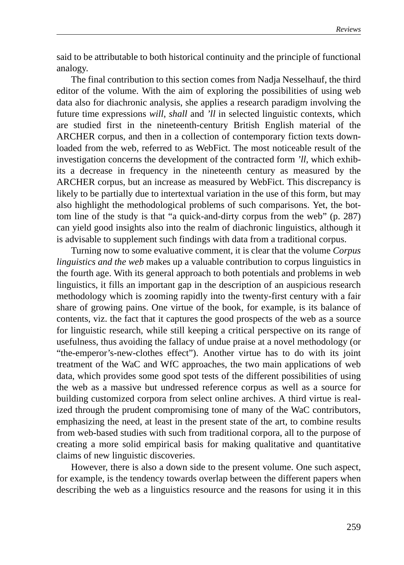said to be attributable to both historical continuity and the principle of functional analogy.

The final contribution to this section comes from Nadja Nesselhauf, the third editor of the volume. With the aim of exploring the possibilities of using web data also for diachronic analysis, she applies a research paradigm involving the future time expressions *will*, *shall* and *'ll* in selected linguistic contexts, which are studied first in the nineteenth-century British English material of the ARCHER corpus, and then in a collection of contemporary fiction texts downloaded from the web, referred to as WebFict. The most noticeable result of the investigation concerns the development of the contracted form *'ll*, which exhibits a decrease in frequency in the nineteenth century as measured by the ARCHER corpus, but an increase as measured by WebFict. This discrepancy is likely to be partially due to intertextual variation in the use of this form, but may also highlight the methodological problems of such comparisons. Yet, the bottom line of the study is that "a quick-and-dirty corpus from the web" (p. 287) can yield good insights also into the realm of diachronic linguistics, although it is advisable to supplement such findings with data from a traditional corpus.

Turning now to some evaluative comment, it is clear that the volume *Corpus linguistics and the web* makes up a valuable contribution to corpus linguistics in the fourth age. With its general approach to both potentials and problems in web linguistics, it fills an important gap in the description of an auspicious research methodology which is zooming rapidly into the twenty-first century with a fair share of growing pains. One virtue of the book, for example, is its balance of contents, viz. the fact that it captures the good prospects of the web as a source for linguistic research, while still keeping a critical perspective on its range of usefulness, thus avoiding the fallacy of undue praise at a novel methodology (or "the-emperor's-new-clothes effect"). Another virtue has to do with its joint treatment of the WaC and WfC approaches, the two main applications of web data, which provides some good spot tests of the different possibilities of using the web as a massive but undressed reference corpus as well as a source for building customized corpora from select online archives. A third virtue is realized through the prudent compromising tone of many of the WaC contributors, emphasizing the need, at least in the present state of the art, to combine results from web-based studies with such from traditional corpora, all to the purpose of creating a more solid empirical basis for making qualitative and quantitative claims of new linguistic discoveries.

However, there is also a down side to the present volume. One such aspect, for example, is the tendency towards overlap between the different papers when describing the web as a linguistics resource and the reasons for using it in this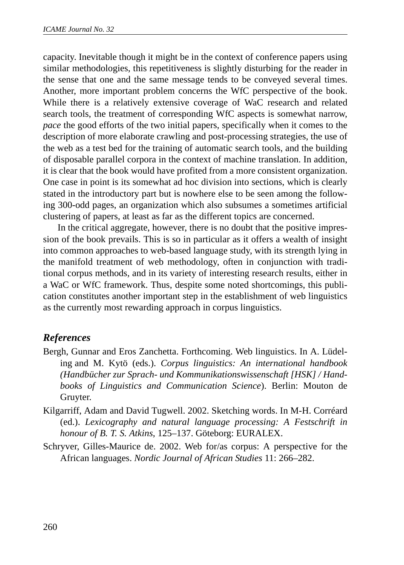capacity. Inevitable though it might be in the context of conference papers using similar methodologies, this repetitiveness is slightly disturbing for the reader in the sense that one and the same message tends to be conveyed several times. Another, more important problem concerns the WfC perspective of the book. While there is a relatively extensive coverage of WaC research and related search tools, the treatment of corresponding WfC aspects is somewhat narrow, *pace* the good efforts of the two initial papers, specifically when it comes to the description of more elaborate crawling and post-processing strategies, the use of the web as a test bed for the training of automatic search tools, and the building of disposable parallel corpora in the context of machine translation. In addition, it is clear that the book would have profited from a more consistent organization. One case in point is its somewhat ad hoc division into sections, which is clearly stated in the introductory part but is nowhere else to be seen among the following 300-odd pages, an organization which also subsumes a sometimes artificial clustering of papers, at least as far as the different topics are concerned.

In the critical aggregate, however, there is no doubt that the positive impression of the book prevails. This is so in particular as it offers a wealth of insight into common approaches to web-based language study, with its strength lying in the manifold treatment of web methodology, often in conjunction with traditional corpus methods, and in its variety of interesting research results, either in a WaC or WfC framework. Thus, despite some noted shortcomings, this publication constitutes another important step in the establishment of web linguistics as the currently most rewarding approach in corpus linguistics.

# *References*

- Bergh, Gunnar and Eros Zanchetta. Forthcoming. Web linguistics. In A. Lüdeling and M. Kytö (eds.). *Corpus linguistics: An international handbook (Handbücher zur Sprach- und Kommunikationswissenschaft [HSK] / Handbooks of Linguistics and Communication Science*). Berlin: Mouton de Gruyter.
- Kilgarriff, Adam and David Tugwell. 2002. Sketching words. In M-H. Corréard (ed.). *Lexicography and natural language processing: A Festschrift in honour of B. T. S. Atkins*, 125–137. Göteborg: EURALEX.
- Schryver, Gilles-Maurice de. 2002. Web for/as corpus: A perspective for the African languages. *Nordic Journal of African Studies* 11: 266–282.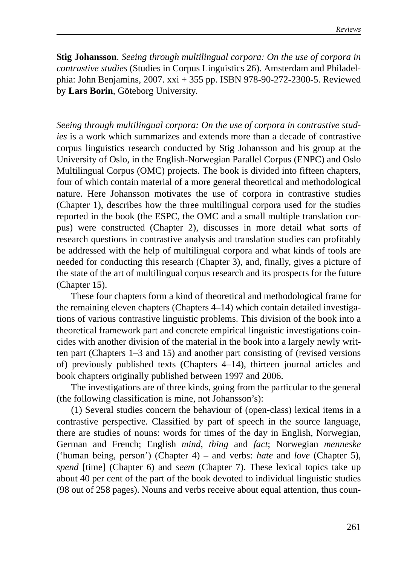**Stig Johansson**. *Seeing through multilingual corpora: On the use of corpora in contrastive studies* (Studies in Corpus Linguistics 26). Amsterdam and Philadelphia: John Benjamins, 2007. xxi + 355 pp. ISBN 978-90-272-2300-5. Reviewed by **Lars Borin**, Göteborg University.

*Seeing through multilingual corpora: On the use of corpora in contrastive studies* is a work which summarizes and extends more than a decade of contrastive corpus linguistics research conducted by Stig Johansson and his group at the University of Oslo, in the English-Norwegian Parallel Corpus (ENPC) and Oslo Multilingual Corpus (OMC) projects. The book is divided into fifteen chapters, four of which contain material of a more general theoretical and methodological nature. Here Johansson motivates the use of corpora in contrastive studies (Chapter 1), describes how the three multilingual corpora used for the studies reported in the book (the ESPC, the OMC and a small multiple translation corpus) were constructed (Chapter 2), discusses in more detail what sorts of research questions in contrastive analysis and translation studies can profitably be addressed with the help of multilingual corpora and what kinds of tools are needed for conducting this research (Chapter 3), and, finally, gives a picture of the state of the art of multilingual corpus research and its prospects for the future (Chapter 15).

These four chapters form a kind of theoretical and methodological frame for the remaining eleven chapters (Chapters 4–14) which contain detailed investigations of various contrastive linguistic problems. This division of the book into a theoretical framework part and concrete empirical linguistic investigations coincides with another division of the material in the book into a largely newly written part (Chapters 1–3 and 15) and another part consisting of (revised versions of) previously published texts (Chapters 4–14), thirteen journal articles and book chapters originally published between 1997 and 2006.

The investigations are of three kinds, going from the particular to the general (the following classification is mine, not Johansson's):

(1) Several studies concern the behaviour of (open-class) lexical items in a contrastive perspective. Classified by part of speech in the source language, there are studies of nouns: words for times of the day in English, Norwegian, German and French; English *mind*, *thing* and *fact*; Norwegian *menneske* ('human being, person') (Chapter 4) – and verbs: *hate* and *love* (Chapter 5), *spend* [time] (Chapter 6) and *seem* (Chapter 7). These lexical topics take up about 40 per cent of the part of the book devoted to individual linguistic studies (98 out of 258 pages). Nouns and verbs receive about equal attention, thus coun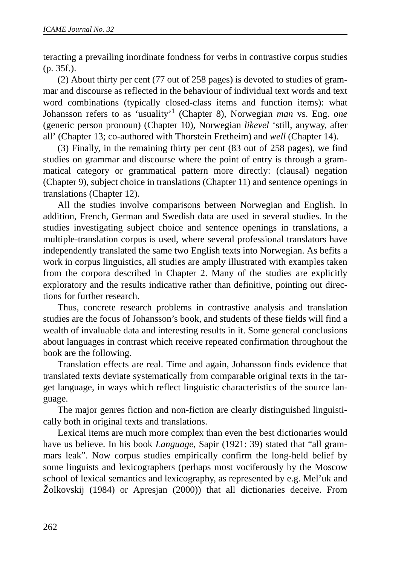teracting a prevailing inordinate fondness for verbs in contrastive corpus studies (p. 35f.).

(2) About thirty per cent (77 out of 258 pages) is devoted to studies of grammar and discourse as reflected in the behaviour of individual text words and text word combinations (typically closed-class items and function items): what Johansson refers to as 'usuality'<sup>1</sup> (Chapter 8), Norwegian *man* vs. Eng. *one* (generic person pronoun) (Chapter 10), Norwegian *likevel* 'still, anyway, after all' (Chapter 13; co-authored with Thorstein Fretheim) and *well* (Chapter 14).

(3) Finally, in the remaining thirty per cent (83 out of 258 pages), we find studies on grammar and discourse where the point of entry is through a grammatical category or grammatical pattern more directly: (clausal) negation (Chapter 9), subject choice in translations (Chapter 11) and sentence openings in translations (Chapter 12).

All the studies involve comparisons between Norwegian and English. In addition, French, German and Swedish data are used in several studies. In the studies investigating subject choice and sentence openings in translations, a multiple-translation corpus is used, where several professional translators have independently translated the same two English texts into Norwegian. As befits a work in corpus linguistics, all studies are amply illustrated with examples taken from the corpora described in Chapter 2. Many of the studies are explicitly exploratory and the results indicative rather than definitive, pointing out directions for further research.

Thus, concrete research problems in contrastive analysis and translation studies are the focus of Johansson's book, and students of these fields will find a wealth of invaluable data and interesting results in it. Some general conclusions about languages in contrast which receive repeated confirmation throughout the book are the following.

Translation effects are real. Time and again, Johansson finds evidence that translated texts deviate systematically from comparable original texts in the target language, in ways which reflect linguistic characteristics of the source language.

The major genres fiction and non-fiction are clearly distinguished linguistically both in original texts and translations.

Lexical items are much more complex than even the best dictionaries would have us believe. In his book *Language*, Sapir (1921: 39) stated that "all grammars leak". Now corpus studies empirically confirm the long-held belief by some linguists and lexicographers (perhaps most vociferously by the Moscow school of lexical semantics and lexicography, as represented by e.g. Mel'uk and Žolkovskij (1984) or Apresjan (2000)) that all dictionaries deceive. From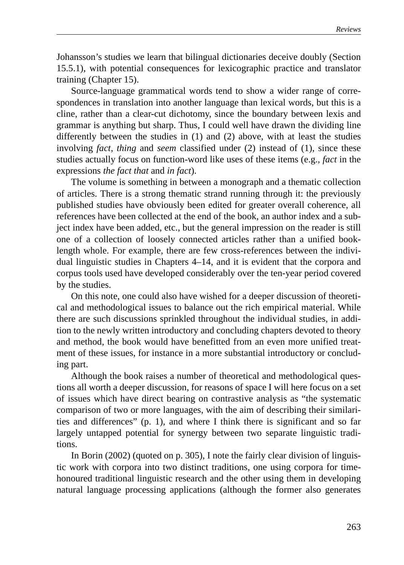Johansson's studies we learn that bilingual dictionaries deceive doubly (Section 15.5.1), with potential consequences for lexicographic practice and translator training (Chapter 15).

Source-language grammatical words tend to show a wider range of correspondences in translation into another language than lexical words, but this is a cline, rather than a clear-cut dichotomy, since the boundary between lexis and grammar is anything but sharp. Thus, I could well have drawn the dividing line differently between the studies in (1) and (2) above, with at least the studies involving *fact*, *thing* and *seem* classified under (2) instead of (1), since these studies actually focus on function-word like uses of these items (e.g., *fact* in the expressions *the fact that* and *in fact*).

The volume is something in between a monograph and a thematic collection of articles. There is a strong thematic strand running through it: the previously published studies have obviously been edited for greater overall coherence, all references have been collected at the end of the book, an author index and a subject index have been added, etc., but the general impression on the reader is still one of a collection of loosely connected articles rather than a unified booklength whole. For example, there are few cross-references between the individual linguistic studies in Chapters 4–14, and it is evident that the corpora and corpus tools used have developed considerably over the ten-year period covered by the studies.

On this note, one could also have wished for a deeper discussion of theoretical and methodological issues to balance out the rich empirical material. While there are such discussions sprinkled throughout the individual studies, in addition to the newly written introductory and concluding chapters devoted to theory and method, the book would have benefitted from an even more unified treatment of these issues, for instance in a more substantial introductory or concluding part.

Although the book raises a number of theoretical and methodological questions all worth a deeper discussion, for reasons of space I will here focus on a set of issues which have direct bearing on contrastive analysis as "the systematic comparison of two or more languages, with the aim of describing their similarities and differences" (p. 1), and where I think there is significant and so far largely untapped potential for synergy between two separate linguistic traditions.

In Borin (2002) (quoted on p. 305), I note the fairly clear division of linguistic work with corpora into two distinct traditions, one using corpora for timehonoured traditional linguistic research and the other using them in developing natural language processing applications (although the former also generates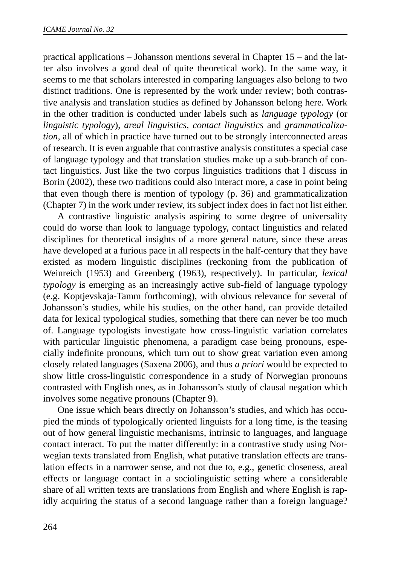practical applications – Johansson mentions several in Chapter 15 – and the latter also involves a good deal of quite theoretical work). In the same way, it seems to me that scholars interested in comparing languages also belong to two distinct traditions. One is represented by the work under review; both contrastive analysis and translation studies as defined by Johansson belong here. Work in the other tradition is conducted under labels such as *language typology* (or *linguistic typology*), *areal linguistics*, *contact linguistics* and *grammaticalization*, all of which in practice have turned out to be strongly interconnected areas of research. It is even arguable that contrastive analysis constitutes a special case of language typology and that translation studies make up a sub-branch of contact linguistics. Just like the two corpus linguistics traditions that I discuss in Borin (2002), these two traditions could also interact more, a case in point being that even though there is mention of typology (p. 36) and grammaticalization (Chapter 7) in the work under review, its subject index does in fact not list either.

A contrastive linguistic analysis aspiring to some degree of universality could do worse than look to language typology, contact linguistics and related disciplines for theoretical insights of a more general nature, since these areas have developed at a furious pace in all respects in the half-century that they have existed as modern linguistic disciplines (reckoning from the publication of Weinreich (1953) and Greenberg (1963), respectively). In particular, *lexical typology* is emerging as an increasingly active sub-field of language typology (e.g. Koptjevskaja-Tamm forthcoming), with obvious relevance for several of Johansson's studies, while his studies, on the other hand, can provide detailed data for lexical typological studies, something that there can never be too much of. Language typologists investigate how cross-linguistic variation correlates with particular linguistic phenomena, a paradigm case being pronouns, especially indefinite pronouns, which turn out to show great variation even among closely related languages (Saxena 2006), and thus *a priori* would be expected to show little cross-linguistic correspondence in a study of Norwegian pronouns contrasted with English ones, as in Johansson's study of clausal negation which involves some negative pronouns (Chapter 9).

One issue which bears directly on Johansson's studies, and which has occupied the minds of typologically oriented linguists for a long time, is the teasing out of how general linguistic mechanisms, intrinsic to languages, and language contact interact. To put the matter differently: in a contrastive study using Norwegian texts translated from English, what putative translation effects are translation effects in a narrower sense, and not due to, e.g., genetic closeness, areal effects or language contact in a sociolinguistic setting where a considerable share of all written texts are translations from English and where English is rapidly acquiring the status of a second language rather than a foreign language?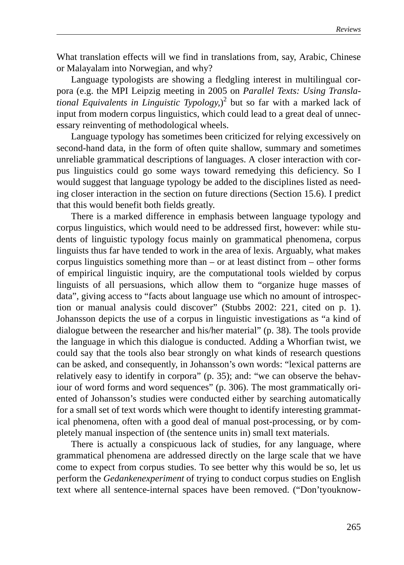What translation effects will we find in translations from, say, Arabic, Chinese or Malayalam into Norwegian, and why?

Language typologists are showing a fledgling interest in multilingual corpora (e.g. the MPI Leipzig meeting in 2005 on *Parallel Texts: Using Translational Equivalents in Linguistic Typology,*) 2 but so far with a marked lack of input from modern corpus linguistics, which could lead to a great deal of unnecessary reinventing of methodological wheels.

Language typology has sometimes been criticized for relying excessively on second-hand data, in the form of often quite shallow, summary and sometimes unreliable grammatical descriptions of languages. A closer interaction with corpus linguistics could go some ways toward remedying this deficiency. So I would suggest that language typology be added to the disciplines listed as needing closer interaction in the section on future directions (Section 15.6). I predict that this would benefit both fields greatly.

There is a marked difference in emphasis between language typology and corpus linguistics, which would need to be addressed first, however: while students of linguistic typology focus mainly on grammatical phenomena, corpus linguists thus far have tended to work in the area of lexis. Arguably, what makes corpus linguistics something more than  $-$  or at least distinct from  $-$  other forms of empirical linguistic inquiry, are the computational tools wielded by corpus linguists of all persuasions, which allow them to "organize huge masses of data", giving access to "facts about language use which no amount of introspection or manual analysis could discover" (Stubbs 2002: 221, cited on p. 1). Johansson depicts the use of a corpus in linguistic investigations as "a kind of dialogue between the researcher and his/her material" (p. 38). The tools provide the language in which this dialogue is conducted. Adding a Whorfian twist, we could say that the tools also bear strongly on what kinds of research questions can be asked, and consequently, in Johansson's own words: "lexical patterns are relatively easy to identify in corpora" (p. 35); and: "we can observe the behaviour of word forms and word sequences" (p. 306). The most grammatically oriented of Johansson's studies were conducted either by searching automatically for a small set of text words which were thought to identify interesting grammatical phenomena, often with a good deal of manual post-processing, or by completely manual inspection of (the sentence units in) small text materials.

There is actually a conspicuous lack of studies, for any language, where grammatical phenomena are addressed directly on the large scale that we have come to expect from corpus studies. To see better why this would be so, let us perform the *Gedankenexperiment* of trying to conduct corpus studies on English text where all sentence-internal spaces have been removed. ("Don'tyouknow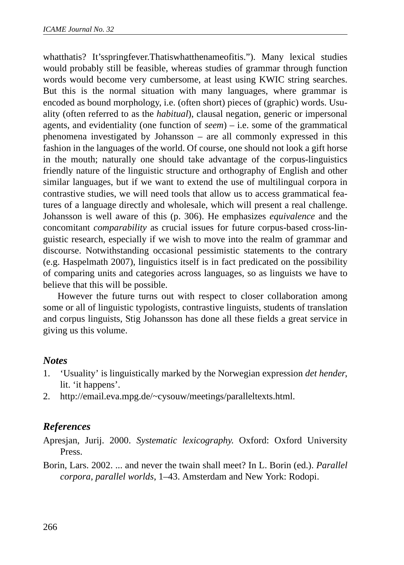whatthatis? It'sspringfever.Thatiswhatthenameofitis."). Many lexical studies would probably still be feasible, whereas studies of grammar through function words would become very cumbersome, at least using KWIC string searches. But this is the normal situation with many languages, where grammar is encoded as bound morphology, i.e. (often short) pieces of (graphic) words. Usuality (often referred to as the *habitual*), clausal negation, generic or impersonal agents, and evidentiality (one function of *seem*) – i.e. some of the grammatical phenomena investigated by Johansson – are all commonly expressed in this fashion in the languages of the world. Of course, one should not look a gift horse in the mouth; naturally one should take advantage of the corpus-linguistics friendly nature of the linguistic structure and orthography of English and other similar languages, but if we want to extend the use of multilingual corpora in contrastive studies, we will need tools that allow us to access grammatical features of a language directly and wholesale, which will present a real challenge. Johansson is well aware of this (p. 306). He emphasizes *equivalence* and the concomitant *comparability* as crucial issues for future corpus-based cross-linguistic research, especially if we wish to move into the realm of grammar and discourse. Notwithstanding occasional pessimistic statements to the contrary (e.g. Haspelmath 2007), linguistics itself is in fact predicated on the possibility of comparing units and categories across languages, so as linguists we have to believe that this will be possible.

However the future turns out with respect to closer collaboration among some or all of linguistic typologists, contrastive linguists, students of translation and corpus linguists, Stig Johansson has done all these fields a great service in giving us this volume.

#### *Notes*

- 1. 'Usuality' is linguistically marked by the Norwegian expression *det hender*, lit. 'it happens'.
- 2. http://email.eva.mpg.de/~cysouw/meetings/paralleltexts.html.

# *References*

Apresjan, Jurij. 2000. *Systematic lexicography*. Oxford: Oxford University Press.

Borin, Lars. 2002. ... and never the twain shall meet? In L. Borin (ed.). *Parallel corpora, parallel worlds*, 1–43. Amsterdam and New York: Rodopi.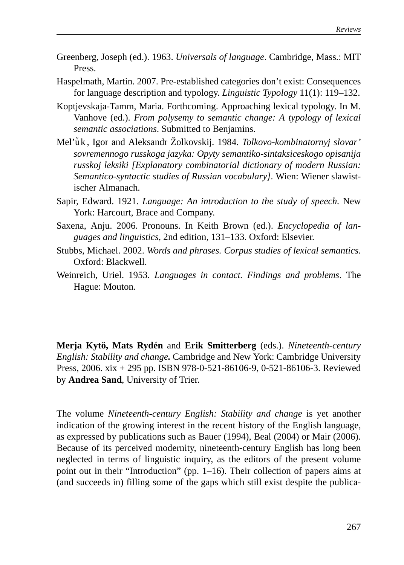- Greenberg, Joseph (ed.). 1963. *Universals of language*. Cambridge, Mass.: MIT Press.
- Haspelmath, Martin. 2007. Pre-established categories don't exist: Consequences for language description and typology. *Linguistic Typology* 11(1): 119–132.
- Koptjevskaja-Tamm, Maria. Forthcoming. Approaching lexical typology. In M. Vanhove (ed.). *From polysemy to semantic change: A typology of lexical semantic associations*. Submitted to Benjamins.
- Mel'uk, Igor and Aleksandr Žolkovskij. 1984. *Tolkovo-kombinatornyj slovar' sovremennogo russkoga jazyka: Opyty semantiko-sintaksiceskogo opisanija russkoj leksiki [Explanatory combinatorial dictionary of modern Russian: Semantico-syntactic studies of Russian vocabulary]*. Wien: Wiener slawistischer Almanach.
- Sapir, Edward. 1921. *Language: An introduction to the study of speech.* New York: Harcourt, Brace and Company.
- Saxena, Anju. 2006. Pronouns. In Keith Brown (ed.). *Encyclopedia of languages and linguistics*, 2nd edition, 131–133. Oxford: Elsevier.
- Stubbs, Michael. 2002. *Words and phrases. Corpus studies of lexical semantics*. Oxford: Blackwell.
- Weinreich, Uriel. 1953. *Languages in contact. Findings and problems*. The Hague: Mouton.

**Merja Kytö, Mats Rydén** and **Erik Smitterberg** (eds.). *Nineteenth-century English: Stability and change.* Cambridge and New York: Cambridge University Press, 2006. xix + 295 pp. ISBN 978-0-521-86106-9, 0-521-86106-3. Reviewed by **Andrea Sand**, University of Trier.

The volume *Nineteenth-century English: Stability and change* is yet another indication of the growing interest in the recent history of the English language, as expressed by publications such as Bauer (1994), Beal (2004) or Mair (2006). Because of its perceived modernity, nineteenth-century English has long been neglected in terms of linguistic inquiry, as the editors of the present volume point out in their "Introduction" (pp. 1–16). Their collection of papers aims at (and succeeds in) filling some of the gaps which still exist despite the publica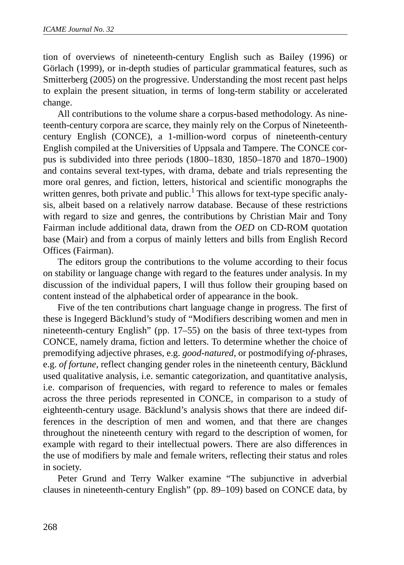tion of overviews of nineteenth-century English such as Bailey (1996) or Görlach (1999), or in-depth studies of particular grammatical features, such as Smitterberg (2005) on the progressive. Understanding the most recent past helps to explain the present situation, in terms of long-term stability or accelerated change.

All contributions to the volume share a corpus-based methodology. As nineteenth-century corpora are scarce, they mainly rely on the Corpus of Nineteenthcentury English (CONCE), a 1-million-word corpus of nineteenth-century English compiled at the Universities of Uppsala and Tampere. The CONCE corpus is subdivided into three periods (1800–1830, 1850–1870 and 1870–1900) and contains several text-types, with drama, debate and trials representing the more oral genres, and fiction, letters, historical and scientific monographs the written genres, both private and public.<sup>1</sup> This allows for text-type specific analysis, albeit based on a relatively narrow database. Because of these restrictions with regard to size and genres, the contributions by Christian Mair and Tony Fairman include additional data, drawn from the *OED* on CD-ROM quotation base (Mair) and from a corpus of mainly letters and bills from English Record Offices (Fairman).

The editors group the contributions to the volume according to their focus on stability or language change with regard to the features under analysis. In my discussion of the individual papers, I will thus follow their grouping based on content instead of the alphabetical order of appearance in the book.

Five of the ten contributions chart language change in progress. The first of these is Ingegerd Bäcklund's study of "Modifiers describing women and men in nineteenth-century English" (pp. 17–55) on the basis of three text-types from CONCE, namely drama, fiction and letters. To determine whether the choice of premodifying adjective phrases, e.g. *good-natured*, or postmodifying *of-*phrases, e.g. *of fortune*, reflect changing gender roles in the nineteenth century, Bäcklund used qualitative analysis, i.e. semantic categorization, and quantitative analysis, i.e. comparison of frequencies, with regard to reference to males or females across the three periods represented in CONCE, in comparison to a study of eighteenth-century usage. Bäcklund's analysis shows that there are indeed differences in the description of men and women, and that there are changes throughout the nineteenth century with regard to the description of women, for example with regard to their intellectual powers. There are also differences in the use of modifiers by male and female writers, reflecting their status and roles in society.

Peter Grund and Terry Walker examine "The subjunctive in adverbial clauses in nineteenth-century English" (pp. 89–109) based on CONCE data, by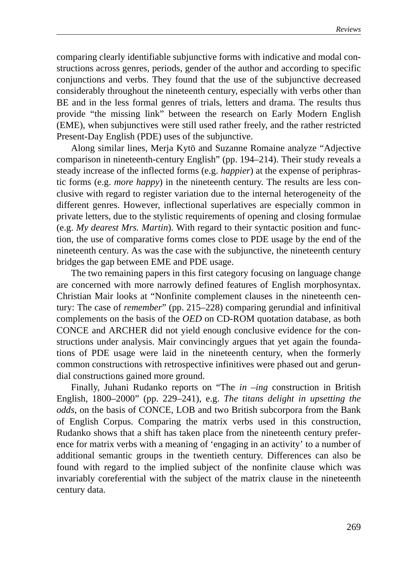comparing clearly identifiable subjunctive forms with indicative and modal constructions across genres, periods, gender of the author and according to specific conjunctions and verbs. They found that the use of the subjunctive decreased considerably throughout the nineteenth century, especially with verbs other than BE and in the less formal genres of trials, letters and drama. The results thus provide "the missing link" between the research on Early Modern English (EME), when subjunctives were still used rather freely, and the rather restricted Present-Day English (PDE) uses of the subjunctive.

Along similar lines, Merja Kytö and Suzanne Romaine analyze "Adjective comparison in nineteenth-century English" (pp. 194–214). Their study reveals a steady increase of the inflected forms (e.g. *happier*) at the expense of periphrastic forms (e.g. *more happy*) in the nineteenth century. The results are less conclusive with regard to register variation due to the internal heterogeneity of the different genres. However, inflectional superlatives are especially common in private letters, due to the stylistic requirements of opening and closing formulae (e.g. *My dearest Mrs. Martin*). With regard to their syntactic position and function, the use of comparative forms comes close to PDE usage by the end of the nineteenth century. As was the case with the subjunctive, the nineteenth century bridges the gap between EME and PDE usage.

The two remaining papers in this first category focusing on language change are concerned with more narrowly defined features of English morphosyntax. Christian Mair looks at "Nonfinite complement clauses in the nineteenth century: The case of *remember*" (pp. 215–228) comparing gerundial and infinitival complements on the basis of the *OED* on CD-ROM quotation database, as both CONCE and ARCHER did not yield enough conclusive evidence for the constructions under analysis. Mair convincingly argues that yet again the foundations of PDE usage were laid in the nineteenth century, when the formerly common constructions with retrospective infinitives were phased out and gerundial constructions gained more ground.

Finally, Juhani Rudanko reports on "The *in –ing* construction in British English, 1800–2000" (pp. 229–241), e.g. *The titans delight in upsetting the odds*, on the basis of CONCE, LOB and two British subcorpora from the Bank of English Corpus. Comparing the matrix verbs used in this construction, Rudanko shows that a shift has taken place from the nineteenth century preference for matrix verbs with a meaning of 'engaging in an activity' to a number of additional semantic groups in the twentieth century. Differences can also be found with regard to the implied subject of the nonfinite clause which was invariably coreferential with the subject of the matrix clause in the nineteenth century data.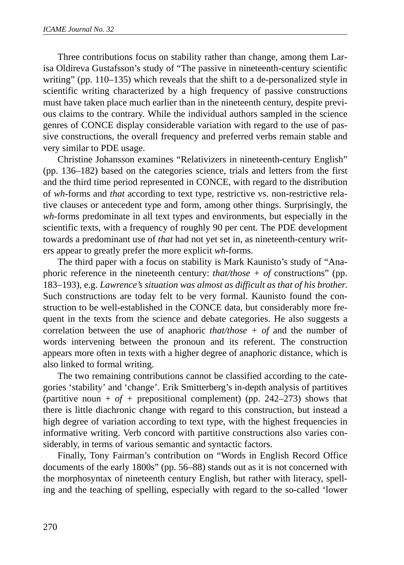Three contributions focus on stability rather than change, among them Larisa Oldireva Gustafsson's study of "The passive in nineteenth-century scientific writing" (pp. 110–135) which reveals that the shift to a de-personalized style in scientific writing characterized by a high frequency of passive constructions must have taken place much earlier than in the nineteenth century, despite previous claims to the contrary. While the individual authors sampled in the science genres of CONCE display considerable variation with regard to the use of passive constructions, the overall frequency and preferred verbs remain stable and very similar to PDE usage.

Christine Johansson examines "Relativizers in nineteenth-century English" (pp. 136–182) based on the categories science, trials and letters from the first and the third time period represented in CONCE, with regard to the distribution of *wh-*forms and *that* according to text type, restrictive vs. non-restrictive relative clauses or antecedent type and form, among other things. Surprisingly, the *wh*-forms predominate in all text types and environments, but especially in the scientific texts, with a frequency of roughly 90 per cent. The PDE development towards a predominant use of *that* had not yet set in, as nineteenth-century writers appear to greatly prefer the more explicit *wh*-forms.

The third paper with a focus on stability is Mark Kaunisto's study of "Anaphoric reference in the nineteenth century: *that/those + of* constructions" (pp. 183–193), e.g. *Lawrence's situation was almost as difficult as that of his brother*. Such constructions are today felt to be very formal. Kaunisto found the construction to be well-established in the CONCE data, but considerably more frequent in the texts from the science and debate categories. He also suggests a correlation between the use of anaphoric *that/those + of* and the number of words intervening between the pronoun and its referent. The construction appears more often in texts with a higher degree of anaphoric distance, which is also linked to formal writing.

The two remaining contributions cannot be classified according to the categories 'stability' and 'change'. Erik Smitterberg's in-depth analysis of partitives (partitive noun +  $of$  + prepositional complement) (pp. 242–273) shows that there is little diachronic change with regard to this construction, but instead a high degree of variation according to text type, with the highest frequencies in informative writing. Verb concord with partitive constructions also varies considerably, in terms of various semantic and syntactic factors.

Finally, Tony Fairman's contribution on "Words in English Record Office documents of the early 1800s" (pp. 56–88) stands out as it is not concerned with the morphosyntax of nineteenth century English, but rather with literacy, spelling and the teaching of spelling, especially with regard to the so-called 'lower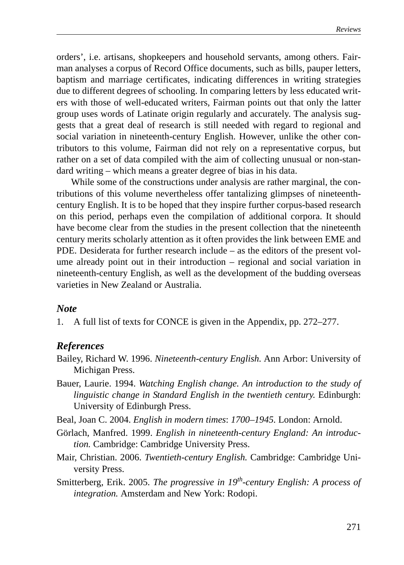orders', i.e. artisans, shopkeepers and household servants, among others. Fairman analyses a corpus of Record Office documents, such as bills, pauper letters, baptism and marriage certificates, indicating differences in writing strategies due to different degrees of schooling. In comparing letters by less educated writers with those of well-educated writers, Fairman points out that only the latter group uses words of Latinate origin regularly and accurately. The analysis suggests that a great deal of research is still needed with regard to regional and social variation in nineteenth-century English. However, unlike the other contributors to this volume, Fairman did not rely on a representative corpus, but rather on a set of data compiled with the aim of collecting unusual or non-standard writing – which means a greater degree of bias in his data.

While some of the constructions under analysis are rather marginal, the contributions of this volume nevertheless offer tantalizing glimpses of nineteenthcentury English. It is to be hoped that they inspire further corpus-based research on this period, perhaps even the compilation of additional corpora. It should have become clear from the studies in the present collection that the nineteenth century merits scholarly attention as it often provides the link between EME and PDE. Desiderata for further research include – as the editors of the present volume already point out in their introduction – regional and social variation in nineteenth-century English, as well as the development of the budding overseas varieties in New Zealand or Australia.

#### *Note*

1. A full list of texts for CONCE is given in the Appendix, pp. 272–277.

### *References*

- Bailey, Richard W. 1996. *Nineteenth-century English.* Ann Arbor: University of Michigan Press.
- Bauer, Laurie. 1994. *Watching English change. An introduction to the study of linguistic change in Standard English in the twentieth century.* Edinburgh: University of Edinburgh Press.
- Beal, Joan C. 2004. *English in modern times*: *1700–1945.* London: Arnold.
- Görlach, Manfred. 1999. *English in nineteenth-century England: An introduction.* Cambridge: Cambridge University Press.
- Mair, Christian. 2006. *Twentieth-century English.* Cambridge: Cambridge University Press.
- Smitterberg, Erik. 2005. *The progressive in 19th-century English: A process of integration.* Amsterdam and New York: Rodopi.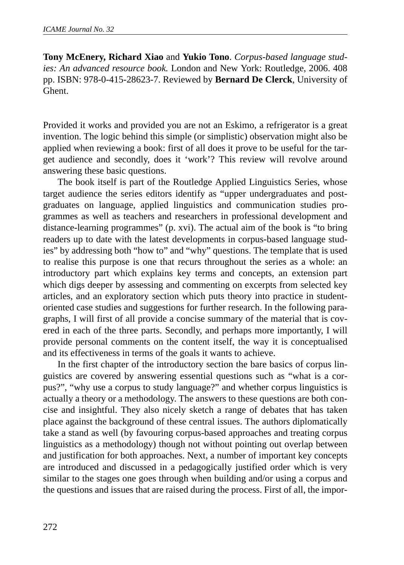**Tony McEnery, Richard Xiao** and **Yukio Tono**. *Corpus-based language studies: An advanced resource book.* London and New York: Routledge, 2006. 408 pp. ISBN: 978-0-415-28623-7. Reviewed by **Bernard De Clerck**, University of Ghent.

Provided it works and provided you are not an Eskimo, a refrigerator is a great invention. The logic behind this simple (or simplistic) observation might also be applied when reviewing a book: first of all does it prove to be useful for the target audience and secondly, does it 'work'? This review will revolve around answering these basic questions.

The book itself is part of the Routledge Applied Linguistics Series, whose target audience the series editors identify as "upper undergraduates and postgraduates on language, applied linguistics and communication studies programmes as well as teachers and researchers in professional development and distance-learning programmes" (p. xvi). The actual aim of the book is "to bring readers up to date with the latest developments in corpus-based language studies" by addressing both "how to" and "why" questions. The template that is used to realise this purpose is one that recurs throughout the series as a whole: an introductory part which explains key terms and concepts, an extension part which digs deeper by assessing and commenting on excerpts from selected key articles, and an exploratory section which puts theory into practice in studentoriented case studies and suggestions for further research. In the following paragraphs, I will first of all provide a concise summary of the material that is covered in each of the three parts. Secondly, and perhaps more importantly, I will provide personal comments on the content itself, the way it is conceptualised and its effectiveness in terms of the goals it wants to achieve.

In the first chapter of the introductory section the bare basics of corpus linguistics are covered by answering essential questions such as "what is a corpus?", "why use a corpus to study language?" and whether corpus linguistics is actually a theory or a methodology. The answers to these questions are both concise and insightful. They also nicely sketch a range of debates that has taken place against the background of these central issues. The authors diplomatically take a stand as well (by favouring corpus-based approaches and treating corpus linguistics as a methodology) though not without pointing out overlap between and justification for both approaches. Next, a number of important key concepts are introduced and discussed in a pedagogically justified order which is very similar to the stages one goes through when building and/or using a corpus and the questions and issues that are raised during the process. First of all, the impor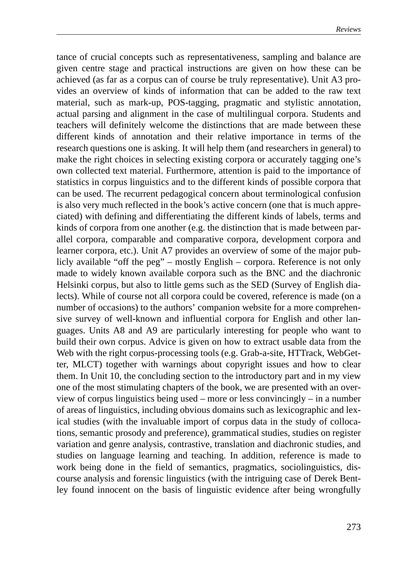tance of crucial concepts such as representativeness, sampling and balance are given centre stage and practical instructions are given on how these can be achieved (as far as a corpus can of course be truly representative). Unit A3 provides an overview of kinds of information that can be added to the raw text material, such as mark-up, POS-tagging, pragmatic and stylistic annotation, actual parsing and alignment in the case of multilingual corpora. Students and teachers will definitely welcome the distinctions that are made between these different kinds of annotation and their relative importance in terms of the research questions one is asking. It will help them (and researchers in general) to make the right choices in selecting existing corpora or accurately tagging one's own collected text material. Furthermore, attention is paid to the importance of statistics in corpus linguistics and to the different kinds of possible corpora that can be used. The recurrent pedagogical concern about terminological confusion is also very much reflected in the book's active concern (one that is much appreciated) with defining and differentiating the different kinds of labels, terms and kinds of corpora from one another (e.g. the distinction that is made between parallel corpora, comparable and comparative corpora, development corpora and learner corpora, etc.). Unit A7 provides an overview of some of the major publicly available "off the peg" – mostly English – corpora. Reference is not only made to widely known available corpora such as the BNC and the diachronic Helsinki corpus, but also to little gems such as the SED (Survey of English dialects). While of course not all corpora could be covered, reference is made (on a number of occasions) to the authors' companion website for a more comprehensive survey of well-known and influential corpora for English and other languages. Units A8 and A9 are particularly interesting for people who want to build their own corpus. Advice is given on how to extract usable data from the Web with the right corpus-processing tools (e.g. Grab-a-site, HTTrack, WebGetter, MLCT) together with warnings about copyright issues and how to clear them. In Unit 10, the concluding section to the introductory part and in my view one of the most stimulating chapters of the book, we are presented with an overview of corpus linguistics being used – more or less convincingly – in a number of areas of linguistics, including obvious domains such as lexicographic and lexical studies (with the invaluable import of corpus data in the study of collocations, semantic prosody and preference), grammatical studies, studies on register variation and genre analysis, contrastive, translation and diachronic studies, and studies on language learning and teaching. In addition, reference is made to work being done in the field of semantics, pragmatics, sociolinguistics, discourse analysis and forensic linguistics (with the intriguing case of Derek Bentley found innocent on the basis of linguistic evidence after being wrongfully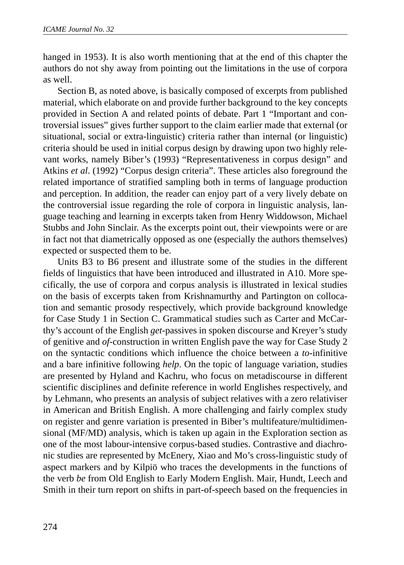hanged in 1953). It is also worth mentioning that at the end of this chapter the authors do not shy away from pointing out the limitations in the use of corpora as well.

Section B, as noted above, is basically composed of excerpts from published material, which elaborate on and provide further background to the key concepts provided in Section A and related points of debate. Part 1 "Important and controversial issues" gives further support to the claim earlier made that external (or situational, social or extra-linguistic) criteria rather than internal (or linguistic) criteria should be used in initial corpus design by drawing upon two highly relevant works, namely Biber's (1993) "Representativeness in corpus design" and Atkins *et al*. (1992) "Corpus design criteria". These articles also foreground the related importance of stratified sampling both in terms of language production and perception. In addition, the reader can enjoy part of a very lively debate on the controversial issue regarding the role of corpora in linguistic analysis, language teaching and learning in excerpts taken from Henry Widdowson, Michael Stubbs and John Sinclair. As the excerpts point out, their viewpoints were or are in fact not that diametrically opposed as one (especially the authors themselves) expected or suspected them to be.

Units B3 to B6 present and illustrate some of the studies in the different fields of linguistics that have been introduced and illustrated in A10. More specifically, the use of corpora and corpus analysis is illustrated in lexical studies on the basis of excerpts taken from Krishnamurthy and Partington on collocation and semantic prosody respectively, which provide background knowledge for Case Study 1 in Section C. Grammatical studies such as Carter and McCarthy's account of the English *get*-passives in spoken discourse and Kreyer's study of genitive and *of*-construction in written English pave the way for Case Study 2 on the syntactic conditions which influence the choice between a *to*-infinitive and a bare infinitive following *help*. On the topic of language variation, studies are presented by Hyland and Kachru, who focus on metadiscourse in different scientific disciplines and definite reference in world Englishes respectively, and by Lehmann, who presents an analysis of subject relatives with a zero relativiser in American and British English. A more challenging and fairly complex study on register and genre variation is presented in Biber's multifeature/multidimensional (MF/MD) analysis, which is taken up again in the Exploration section as one of the most labour-intensive corpus-based studies. Contrastive and diachronic studies are represented by McEnery, Xiao and Mo's cross-linguistic study of aspect markers and by Kilpiö who traces the developments in the functions of the verb *be* from Old English to Early Modern English. Mair, Hundt, Leech and Smith in their turn report on shifts in part-of-speech based on the frequencies in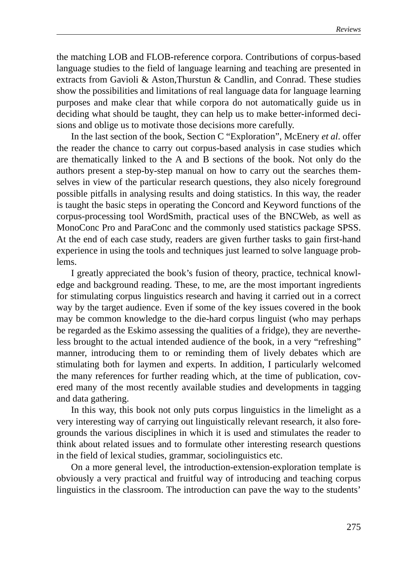the matching LOB and FLOB-reference corpora. Contributions of corpus-based language studies to the field of language learning and teaching are presented in extracts from Gavioli & Aston,Thurstun & Candlin, and Conrad. These studies show the possibilities and limitations of real language data for language learning purposes and make clear that while corpora do not automatically guide us in deciding what should be taught, they can help us to make better-informed decisions and oblige us to motivate those decisions more carefully.

In the last section of the book, Section C "Exploration", McEnery *et al*. offer the reader the chance to carry out corpus-based analysis in case studies which are thematically linked to the A and B sections of the book. Not only do the authors present a step-by-step manual on how to carry out the searches themselves in view of the particular research questions, they also nicely foreground possible pitfalls in analysing results and doing statistics. In this way, the reader is taught the basic steps in operating the Concord and Keyword functions of the corpus-processing tool WordSmith, practical uses of the BNCWeb, as well as MonoConc Pro and ParaConc and the commonly used statistics package SPSS. At the end of each case study, readers are given further tasks to gain first-hand experience in using the tools and techniques just learned to solve language problems.

I greatly appreciated the book's fusion of theory, practice, technical knowledge and background reading. These, to me, are the most important ingredients for stimulating corpus linguistics research and having it carried out in a correct way by the target audience. Even if some of the key issues covered in the book may be common knowledge to the die-hard corpus linguist (who may perhaps be regarded as the Eskimo assessing the qualities of a fridge), they are nevertheless brought to the actual intended audience of the book, in a very "refreshing" manner, introducing them to or reminding them of lively debates which are stimulating both for laymen and experts. In addition, I particularly welcomed the many references for further reading which, at the time of publication, covered many of the most recently available studies and developments in tagging and data gathering.

In this way, this book not only puts corpus linguistics in the limelight as a very interesting way of carrying out linguistically relevant research, it also foregrounds the various disciplines in which it is used and stimulates the reader to think about related issues and to formulate other interesting research questions in the field of lexical studies, grammar, sociolinguistics etc.

On a more general level, the introduction-extension-exploration template is obviously a very practical and fruitful way of introducing and teaching corpus linguistics in the classroom. The introduction can pave the way to the students'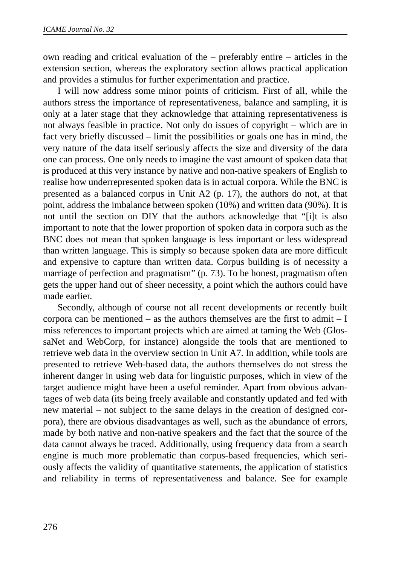own reading and critical evaluation of the – preferably entire – articles in the extension section, whereas the exploratory section allows practical application and provides a stimulus for further experimentation and practice.

I will now address some minor points of criticism. First of all, while the authors stress the importance of representativeness, balance and sampling, it is only at a later stage that they acknowledge that attaining representativeness is not always feasible in practice. Not only do issues of copyright – which are in fact very briefly discussed – limit the possibilities or goals one has in mind, the very nature of the data itself seriously affects the size and diversity of the data one can process. One only needs to imagine the vast amount of spoken data that is produced at this very instance by native and non-native speakers of English to realise how underrepresented spoken data is in actual corpora. While the BNC is presented as a balanced corpus in Unit A2 (p. 17), the authors do not, at that point, address the imbalance between spoken (10%) and written data (90%). It is not until the section on DIY that the authors acknowledge that "[i]t is also important to note that the lower proportion of spoken data in corpora such as the BNC does not mean that spoken language is less important or less widespread than written language. This is simply so because spoken data are more difficult and expensive to capture than written data. Corpus building is of necessity a marriage of perfection and pragmatism" (p. 73). To be honest, pragmatism often gets the upper hand out of sheer necessity, a point which the authors could have made earlier.

Secondly, although of course not all recent developments or recently built corpora can be mentioned – as the authors themselves are the first to admit – I miss references to important projects which are aimed at taming the Web (GlossaNet and WebCorp, for instance) alongside the tools that are mentioned to retrieve web data in the overview section in Unit A7. In addition, while tools are presented to retrieve Web-based data, the authors themselves do not stress the inherent danger in using web data for linguistic purposes, which in view of the target audience might have been a useful reminder. Apart from obvious advantages of web data (its being freely available and constantly updated and fed with new material – not subject to the same delays in the creation of designed corpora), there are obvious disadvantages as well, such as the abundance of errors, made by both native and non-native speakers and the fact that the source of the data cannot always be traced. Additionally, using frequency data from a search engine is much more problematic than corpus-based frequencies, which seriously affects the validity of quantitative statements, the application of statistics and reliability in terms of representativeness and balance. See for example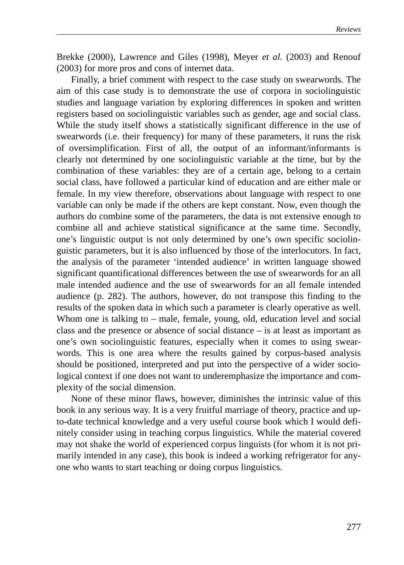Brekke (2000), Lawrence and Giles (1998), Meyer *et al.* (2003) and Renouf (2003) for more pros and cons of internet data.

Finally, a brief comment with respect to the case study on swearwords. The aim of this case study is to demonstrate the use of corpora in sociolinguistic studies and language variation by exploring differences in spoken and written registers based on sociolinguistic variables such as gender, age and social class. While the study itself shows a statistically significant difference in the use of swearwords (i.e. their frequency) for many of these parameters, it runs the risk of oversimplification. First of all, the output of an informant/informants is clearly not determined by one sociolinguistic variable at the time, but by the combination of these variables: they are of a certain age, belong to a certain social class, have followed a particular kind of education and are either male or female. In my view therefore, observations about language with respect to one variable can only be made if the others are kept constant. Now, even though the authors do combine some of the parameters, the data is not extensive enough to combine all and achieve statistical significance at the same time. Secondly, one's linguistic output is not only determined by one's own specific sociolinguistic parameters, but it is also influenced by those of the interlocutors. In fact, the analysis of the parameter 'intended audience' in written language showed significant quantificational differences between the use of swearwords for an all male intended audience and the use of swearwords for an all female intended audience (p. 282). The authors, however, do not transpose this finding to the results of the spoken data in which such a parameter is clearly operative as well. Whom one is talking to – male, female, young, old, education level and social class and the presence or absence of social distance – is at least as important as one's own sociolinguistic features, especially when it comes to using swearwords. This is one area where the results gained by corpus-based analysis should be positioned, interpreted and put into the perspective of a wider sociological context if one does not want to underemphasize the importance and complexity of the social dimension.

None of these minor flaws, however, diminishes the intrinsic value of this book in any serious way. It is a very fruitful marriage of theory, practice and upto-date technical knowledge and a very useful course book which I would definitely consider using in teaching corpus linguistics. While the material covered may not shake the world of experienced corpus linguists (for whom it is not primarily intended in any case), this book is indeed a working refrigerator for anyone who wants to start teaching or doing corpus linguistics.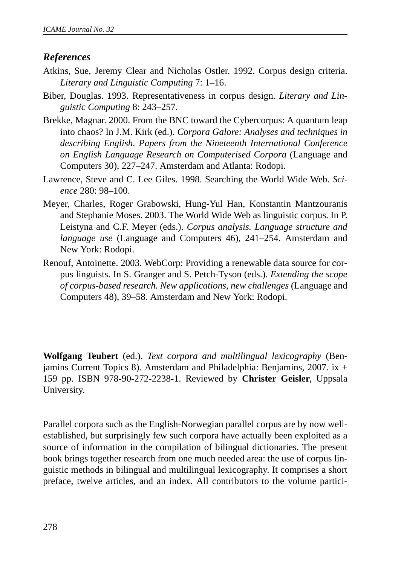# *References*

- Atkins, Sue, Jeremy Clear and Nicholas Ostler. 1992. Corpus design criteria. *Literary and Linguistic Computing* 7: 1–16.
- Biber, Douglas. 1993. Representativeness in corpus design. *Literary and Linguistic Computing* 8: 243–257.
- Brekke, Magnar. 2000. From the BNC toward the Cybercorpus: A quantum leap into chaos? In J.M. Kirk (ed.). *Corpora Galore: Analyses and techniques in describing English. Papers from the Nineteenth International Conference on English Language Research on Computerised Corpora* (Language and Computers 30), 227–247. Amsterdam and Atlanta: Rodopi.
- Lawrence, Steve and C. Lee Giles. 1998. Searching the World Wide Web. *Science* 280: 98–100.
- Meyer, Charles, Roger Grabowski, Hung-Yul Han, Konstantin Mantzouranis and Stephanie Moses. 2003. The World Wide Web as linguistic corpus. In P. Leistyna and C.F. Meyer (eds.). *Corpus analysis. Language structure and language use* (Language and Computers 46)*,* 241–254. Amsterdam and New York: Rodopi.
- Renouf, Antoinette. 2003. WebCorp: Providing a renewable data source for corpus linguists. In S. Granger and S. Petch-Tyson (eds.). *Extending the scope of corpus-based research. New applications, new challenges* (Language and Computers 48), 39–58. Amsterdam and New York: Rodopi.

**Wolfgang Teubert** (ed.). *Text corpora and multilingual lexicography* (Benjamins Current Topics 8). Amsterdam and Philadelphia: Benjamins, 2007. ix + 159 pp. ISBN 978-90-272-2238-1. Reviewed by **Christer Geisler**, Uppsala University.

Parallel corpora such as the English-Norwegian parallel corpus are by now wellestablished, but surprisingly few such corpora have actually been exploited as a source of information in the compilation of bilingual dictionaries. The present book brings together research from one much needed area: the use of corpus linguistic methods in bilingual and multilingual lexicography. It comprises a short preface, twelve articles, and an index. All contributors to the volume partici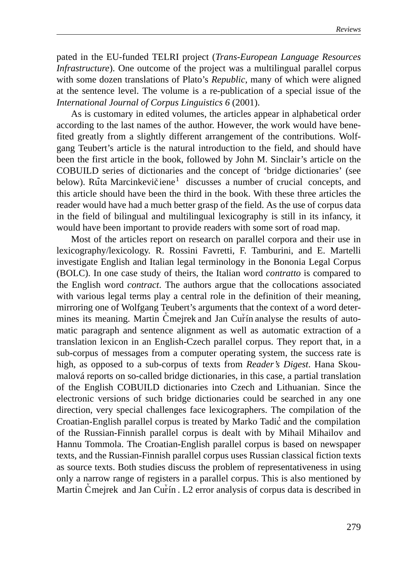pated in the EU-funded TELRI project (*Trans-European Language Resources Infrastructure*). One outcome of the project was a multilingual parallel corpus with some dozen translations of Plato's *Republic*, many of which were aligned at the sentence level. The volume is a re-publication of a special issue of the *International Journal of Corpus Linguistics 6* (2001).

As is customary in edited volumes, the articles appear in alphabetical order according to the last names of the author. However, the work would have benefited greatly from a slightly different arrangement of the contributions. Wolfgang Teubert's article is the natural introduction to the field, and should have been the first article in the book, followed by John M. Sinclair's article on the COBUILD series of dictionaries and the concept of 'bridge dictionaries' (see below). Ruta Marcinkevičiene<sup>1</sup> discusses a number of crucial concepts, and this article should have been the third in the book. With these three articles the reader would have had a much better grasp of the field. As the use of corpus data in the field of bilingual and multilingual lexicography is still in its infancy, it would have been important to provide readers with some sort of road map.

Most of the articles report on research on parallel corpora and their use in lexicography/lexicology. R. Rossini Favretti, F. Tamburini, and E. Martelli investigate English and Italian legal terminology in the Bononia Legal Corpus (BOLC). In one case study of theirs, the Italian word *contratto* is compared to the English word *contract*. The authors argue that the collocations associated with various legal terms play a central role in the definition of their meaning, mirroring one of Wolfgang Teubert's arguments that the context of a word determines its meaning. Martin Cmejrek and Jan Curn analyse the results of automatic paragraph and sentence alignment as well as automatic extraction of a translation lexicon in an English-Czech parallel corpus. They report that, in a sub-corpus of messages from a computer operating system, the success rate is high, as opposed to a sub-corpus of texts from *Reader's Digest*. Hana Skoumalová reports on so-called bridge dictionaries, in this case, a partial translation of the English COBUILD dictionaries into Czech and Lithuanian. Since the electronic versions of such bridge dictionaries could be searched in any one direction, very special challenges face lexicographers. The compilation of the Croatian-English parallel corpus is treated by Marko Tadic' and the compilation of the Russian-Finnish parallel corpus is dealt with by Mihail Mihailov and Hannu Tommola. The Croatian-English parallel corpus is based on newspaper texts, and the Russian-Finnish parallel corpus uses Russian classical fiction texts as source texts. Both studies discuss the problem of representativeness in using only a narrow range of registers in a parallel corpus. This is also mentioned by Martin Čmejrek and Jan Curín . L2 error analysis of corpus data is described in